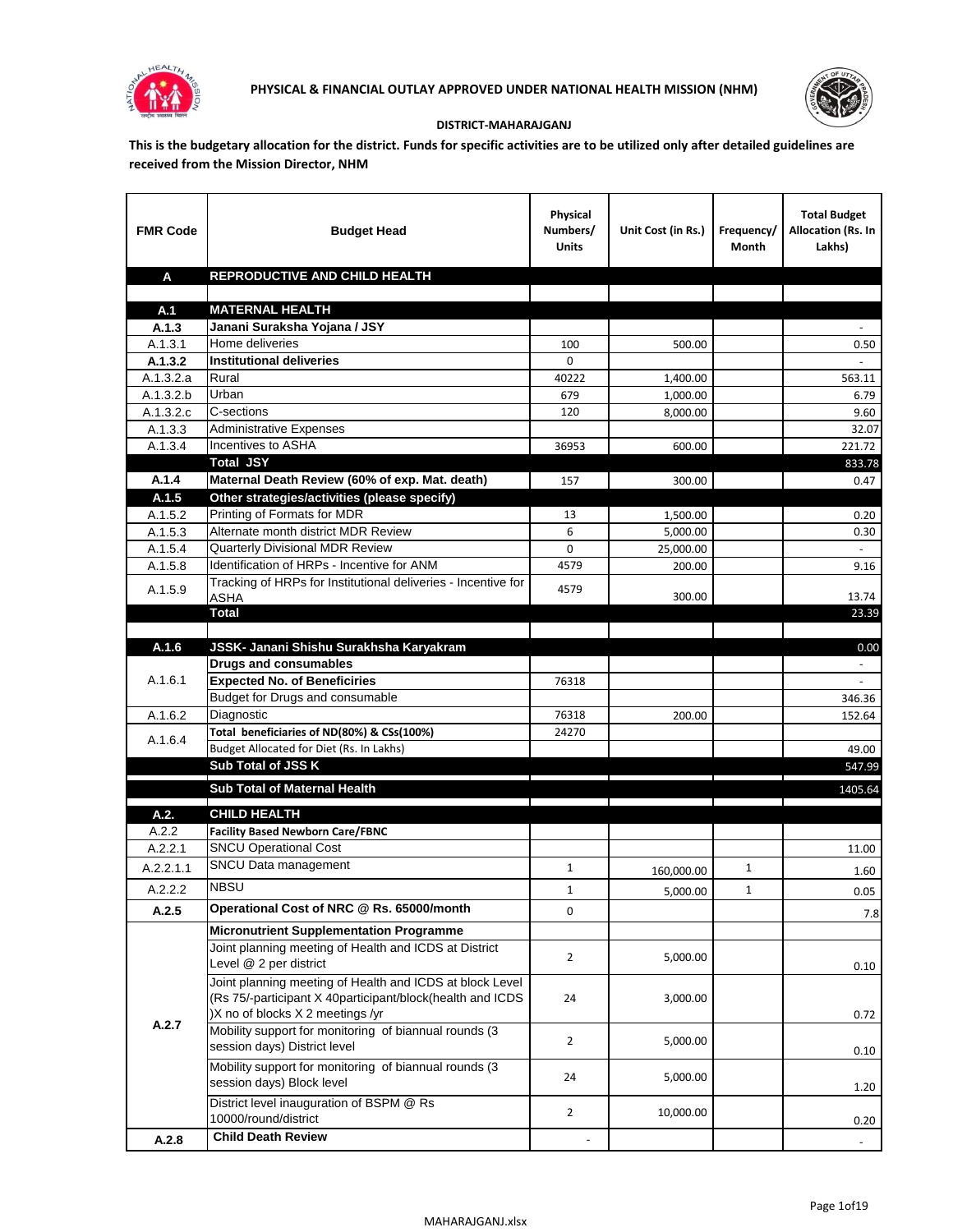



## **DISTRICT-MAHARAJGANJ**

**This is the budgetary allocation for the district. Funds for specific activities are to be utilized only after detailed guidelines are received from the Mission Director, NHM**

| <b>FMR Code</b>      | <b>Budget Head</b>                                                              | Physical<br>Numbers/<br><b>Units</b> | Unit Cost (in Rs.) | Frequency/<br>Month | <b>Total Budget</b><br>Allocation (Rs. In<br>Lakhs) |
|----------------------|---------------------------------------------------------------------------------|--------------------------------------|--------------------|---------------------|-----------------------------------------------------|
| A                    | REPRODUCTIVE AND CHILD HEALTH                                                   |                                      |                    |                     |                                                     |
|                      |                                                                                 |                                      |                    |                     |                                                     |
| A.1                  | <b>MATERNAL HEALTH</b>                                                          |                                      |                    |                     |                                                     |
| A.1.3                | Janani Suraksha Yojana / JSY                                                    |                                      |                    |                     |                                                     |
| A.1.3.1              | Home deliveries                                                                 | 100                                  | 500.00             |                     | 0.50                                                |
| A.1.3.2              | <b>Institutional deliveries</b>                                                 | 0                                    |                    |                     |                                                     |
| A.1.3.2.a            | Rural                                                                           | 40222                                | 1,400.00           |                     | 563.11                                              |
| A.1.3.2.b            | Urban                                                                           | 679                                  | 1,000.00           |                     | 6.79                                                |
| A.1.3.2.c<br>A.1.3.3 | C-sections<br><b>Administrative Expenses</b>                                    | 120                                  | 8,000.00           |                     | 9.60<br>32.07                                       |
| A.1.3.4              | Incentives to ASHA                                                              | 36953                                | 600.00             |                     | 221.72                                              |
|                      | <b>Total JSY</b>                                                                |                                      |                    |                     | 833.78                                              |
| A.1.4                | Maternal Death Review (60% of exp. Mat. death)                                  | 157                                  | 300.00             |                     | 0.47                                                |
| A.1.5                | Other strategies/activities (please specify)                                    |                                      |                    |                     |                                                     |
| A.1.5.2              | Printing of Formats for MDR                                                     | 13                                   | 1.500.00           |                     | 0.20                                                |
| A.1.5.3              | Alternate month district MDR Review                                             | 6                                    | 5,000.00           |                     | 0.30                                                |
| A.1.5.4              | <b>Quarterly Divisional MDR Review</b>                                          | 0                                    | 25,000.00          |                     |                                                     |
| A.1.5.8              | Identification of HRPs - Incentive for ANM                                      | 4579                                 | 200.00             |                     | 9.16                                                |
|                      | Tracking of HRPs for Institutional deliveries - Incentive for                   |                                      |                    |                     |                                                     |
| A.1.5.9              | <b>ASHA</b>                                                                     | 4579                                 | 300.00             |                     | 13.74                                               |
|                      | <b>Total</b>                                                                    |                                      |                    |                     | 23.39                                               |
|                      |                                                                                 |                                      |                    |                     |                                                     |
| A.1.6                | JSSK- Janani Shishu Surakhsha Karyakram                                         |                                      |                    |                     | 0.00                                                |
|                      | <b>Drugs and consumables</b>                                                    |                                      |                    |                     |                                                     |
| A.1.6.1              | <b>Expected No. of Beneficiries</b>                                             | 76318                                |                    |                     |                                                     |
|                      | Budget for Drugs and consumable                                                 |                                      |                    |                     | 346.36                                              |
| A.1.6.2              | Diagnostic<br>Total beneficiaries of ND(80%) & CSs(100%)                        | 76318                                | 200.00             |                     | 152.64                                              |
| A.1.6.4              | Budget Allocated for Diet (Rs. In Lakhs)                                        | 24270                                |                    |                     | 49.00                                               |
|                      | Sub Total of JSS K                                                              |                                      |                    |                     | 547.99                                              |
|                      |                                                                                 |                                      |                    |                     |                                                     |
|                      | Sub Total of Maternal Health                                                    |                                      |                    |                     | 1405.64                                             |
| A.2.                 | <b>CHILD HEALTH</b>                                                             |                                      |                    |                     |                                                     |
| A.2.2                | <b>Facility Based Newborn Care/FBNC</b>                                         |                                      |                    |                     |                                                     |
| A.2.2.1              | <b>SNCU Operational Cost</b>                                                    |                                      |                    |                     | 11.00                                               |
| A.2.2.1.1            | SNCU Data management                                                            | $\mathbf{1}$                         | 160,000.00         | $\mathbf{1}$        | 1.60                                                |
| A.2.2.2              | <b>NBSU</b>                                                                     | 1                                    | 5,000.00           | 1                   | 0.05                                                |
| A.2.5                | Operational Cost of NRC @ Rs. 65000/month                                       | 0                                    |                    |                     |                                                     |
|                      |                                                                                 |                                      |                    |                     | 7.8                                                 |
|                      | <b>Micronutrient Supplementation Programme</b>                                  |                                      |                    |                     |                                                     |
|                      | Joint planning meeting of Health and ICDS at District<br>Level @ 2 per district | $\overline{2}$                       | 5,000.00           |                     |                                                     |
|                      | Joint planning meeting of Health and ICDS at block Level                        |                                      |                    |                     | 0.10                                                |
|                      | (Rs 75/-participant X 40participant/block(health and ICDS                       | 24                                   | 3,000.00           |                     |                                                     |
|                      | )X no of blocks X 2 meetings /yr                                                |                                      |                    |                     | 0.72                                                |
| A.2.7                | Mobility support for monitoring of biannual rounds (3                           |                                      |                    |                     |                                                     |
|                      | session days) District level                                                    | $\overline{2}$                       | 5,000.00           |                     | 0.10                                                |
|                      | Mobility support for monitoring of biannual rounds (3)                          |                                      |                    |                     |                                                     |
|                      | session days) Block level                                                       | 24                                   | 5,000.00           |                     | 1.20                                                |
|                      | District level inauguration of BSPM @ Rs                                        |                                      |                    |                     |                                                     |
|                      | 10000/round/district                                                            | $\overline{2}$                       | 10,000.00          |                     | 0.20                                                |
| A.2.8                | <b>Child Death Review</b>                                                       |                                      |                    |                     | $\overline{\phantom{a}}$                            |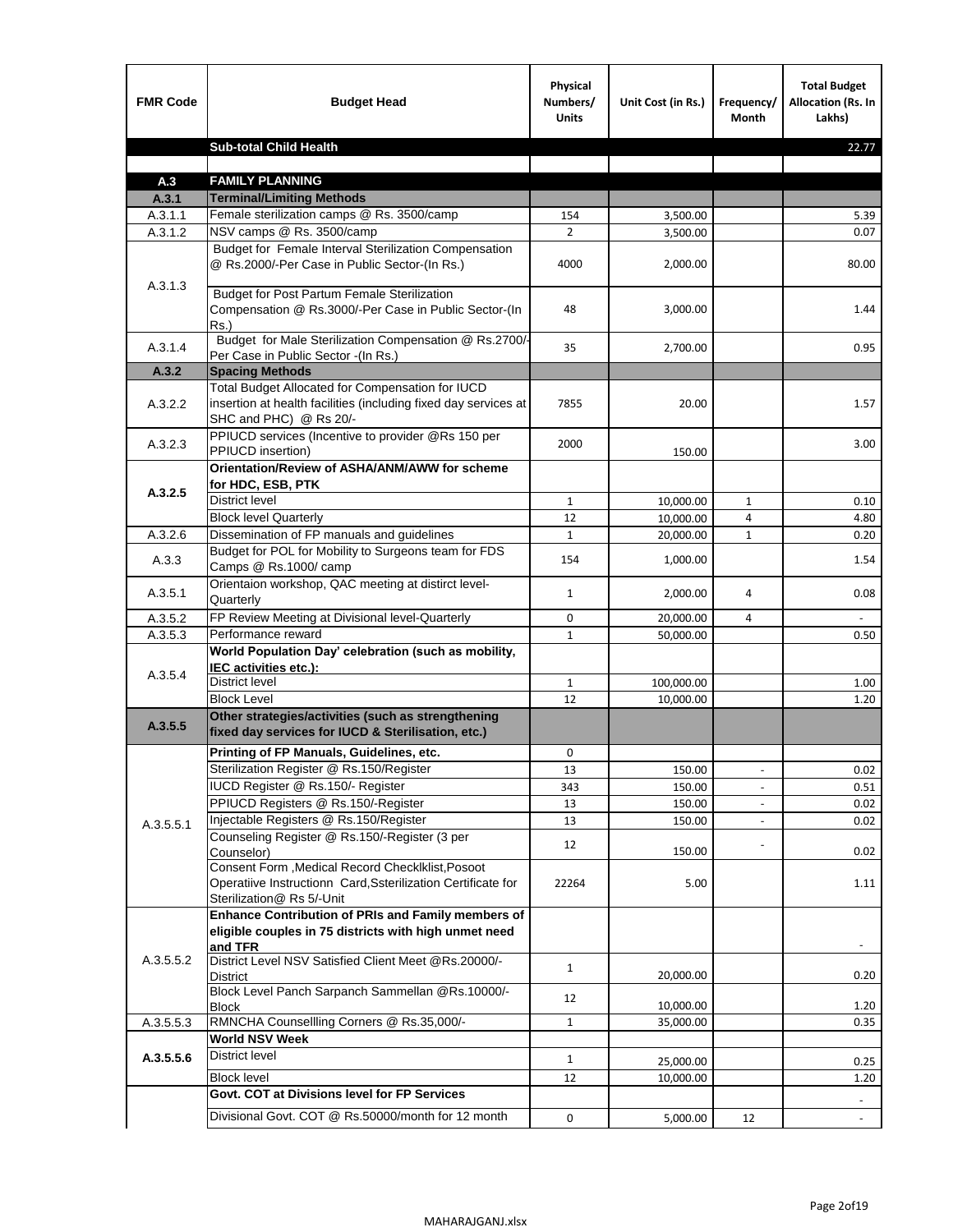| <b>FMR Code</b>    | <b>Budget Head</b>                                                                                                                             | Physical<br>Numbers/<br><b>Units</b> | Unit Cost (in Rs.) | Frequency/<br><b>Month</b> | <b>Total Budget</b><br>Allocation (Rs. In<br>Lakhs) |
|--------------------|------------------------------------------------------------------------------------------------------------------------------------------------|--------------------------------------|--------------------|----------------------------|-----------------------------------------------------|
|                    | <b>Sub-total Child Health</b>                                                                                                                  |                                      |                    |                            | 22.77                                               |
|                    |                                                                                                                                                |                                      |                    |                            |                                                     |
| A.3                | <b>FAMILY PLANNING</b>                                                                                                                         |                                      |                    |                            |                                                     |
| A.3.1              | <b>Terminal/Limiting Methods</b>                                                                                                               |                                      |                    |                            |                                                     |
| A.3.1.1<br>A.3.1.2 | Female sterilization camps @ Rs. 3500/camp<br>NSV camps @ Rs. 3500/camp                                                                        | 154<br>$\overline{2}$                | 3,500.00           |                            | 5.39<br>0.07                                        |
|                    | Budget for Female Interval Sterilization Compensation                                                                                          |                                      | 3,500.00           |                            |                                                     |
| A.3.1.3            | @ Rs.2000/-Per Case in Public Sector-(In Rs.)                                                                                                  | 4000                                 | 2,000.00           |                            | 80.00                                               |
|                    | <b>Budget for Post Partum Female Sterilization</b><br>Compensation @ Rs.3000/-Per Case in Public Sector-(In<br>$Rs.$ )                         | 48                                   | 3,000.00           |                            | 1.44                                                |
| A.3.1.4            | Budget for Male Sterilization Compensation @ Rs.2700/-<br>Per Case in Public Sector -(In Rs.)                                                  | 35                                   | 2,700.00           |                            | 0.95                                                |
| A.3.2              | <b>Spacing Methods</b>                                                                                                                         |                                      |                    |                            |                                                     |
|                    | Total Budget Allocated for Compensation for IUCD                                                                                               |                                      |                    |                            |                                                     |
| A.3.2.2            | insertion at health facilities (including fixed day services at<br>SHC and PHC) @ Rs 20/-                                                      | 7855                                 | 20.00              |                            | 1.57                                                |
| A.3.2.3            | PPIUCD services (Incentive to provider @Rs 150 per<br>PPIUCD insertion)                                                                        | 2000                                 | 150.00             |                            | 3.00                                                |
|                    | Orientation/Review of ASHA/ANM/AWW for scheme<br>for HDC, ESB, PTK                                                                             |                                      |                    |                            |                                                     |
| A.3.2.5            | <b>District level</b>                                                                                                                          | $\mathbf{1}$                         | 10,000.00          | $\mathbf{1}$               | 0.10                                                |
|                    | <b>Block level Quarterly</b>                                                                                                                   | 12                                   | 10,000.00          | 4                          | 4.80                                                |
| A.3.2.6            | Dissemination of FP manuals and guidelines                                                                                                     | $\mathbf{1}$                         | 20,000.00          | $\mathbf{1}$               | 0.20                                                |
|                    | Budget for POL for Mobility to Surgeons team for FDS                                                                                           |                                      |                    |                            |                                                     |
| A.3.3              | Camps @ Rs.1000/ camp                                                                                                                          | 154                                  | 1,000.00           |                            | 1.54                                                |
| A.3.5.1            | Orientaion workshop, QAC meeting at distirct level-<br>Quarterly                                                                               | $\mathbf{1}$                         | 2,000.00           | 4                          | 0.08                                                |
| A.3.5.2            | FP Review Meeting at Divisional level-Quarterly                                                                                                | 0                                    | 20,000.00          | 4                          |                                                     |
| A.3.5.3            | Performance reward                                                                                                                             | $\mathbf{1}$                         | 50,000.00          |                            | 0.50                                                |
|                    | World Population Day' celebration (such as mobility,<br>IEC activities etc.):                                                                  |                                      |                    |                            |                                                     |
| A.3.5.4            | District level                                                                                                                                 | $\mathbf{1}$                         | 100,000.00         |                            | 1.00                                                |
|                    | <b>Block Level</b>                                                                                                                             | 12                                   | 10.000.00          |                            | 1.20                                                |
| A.3.5.5            | Other strategies/activities (such as strengthening<br>fixed day services for IUCD & Sterilisation, etc.)                                       |                                      |                    |                            |                                                     |
|                    | Printing of FP Manuals, Guidelines, etc.                                                                                                       | 0                                    |                    |                            |                                                     |
|                    | Sterilization Register @ Rs.150/Register                                                                                                       | 13                                   | 150.00             | $\centerdot$               | 0.02                                                |
|                    | IUCD Register @ Rs.150/- Register                                                                                                              | 343                                  | 150.00             |                            | 0.51                                                |
|                    | PPIUCD Registers @ Rs.150/-Register                                                                                                            | 13                                   | 150.00             |                            | 0.02                                                |
| A.3.5.5.1          | Injectable Registers @ Rs.150/Register                                                                                                         | 13                                   | 150.00             |                            | 0.02                                                |
|                    | Counseling Register @ Rs.150/-Register (3 per<br>Counselor)                                                                                    | 12                                   | 150.00             |                            | 0.02                                                |
|                    | Consent Form , Medical Record CheckIklist, Posoot<br>Operatiive Instructionn Card, Ssterilization Certificate for<br>Sterilization@ Rs 5/-Unit | 22264                                | 5.00               |                            | 1.11                                                |
|                    | Enhance Contribution of PRIs and Family members of<br>eligible couples in 75 districts with high unmet need                                    |                                      |                    |                            |                                                     |
| A.3.5.5.2          | and TFR<br>District Level NSV Satisfied Client Meet @Rs.20000/-<br>District                                                                    | $\mathbf{1}$                         | 20,000.00          |                            | 0.20                                                |
|                    | Block Level Panch Sarpanch Sammellan @Rs.10000/-<br><b>Block</b>                                                                               | 12                                   | 10,000.00          |                            | 1.20                                                |
| A.3.5.5.3          | RMNCHA Counsellling Corners @ Rs.35,000/-                                                                                                      | $\mathbf{1}$                         | 35,000.00          |                            | 0.35                                                |
|                    | <b>World NSV Week</b>                                                                                                                          |                                      |                    |                            |                                                     |
| A.3.5.5.6          | <b>District level</b>                                                                                                                          | $\mathbf{1}$                         | 25,000.00          |                            | 0.25                                                |
|                    | <b>Block level</b>                                                                                                                             | 12                                   | 10,000.00          |                            | 1.20                                                |
|                    | Govt. COT at Divisions level for FP Services                                                                                                   |                                      |                    |                            |                                                     |
|                    |                                                                                                                                                |                                      |                    |                            |                                                     |
|                    | Divisional Govt. COT @ Rs.50000/month for 12 month                                                                                             | 0                                    | 5,000.00           | 12                         |                                                     |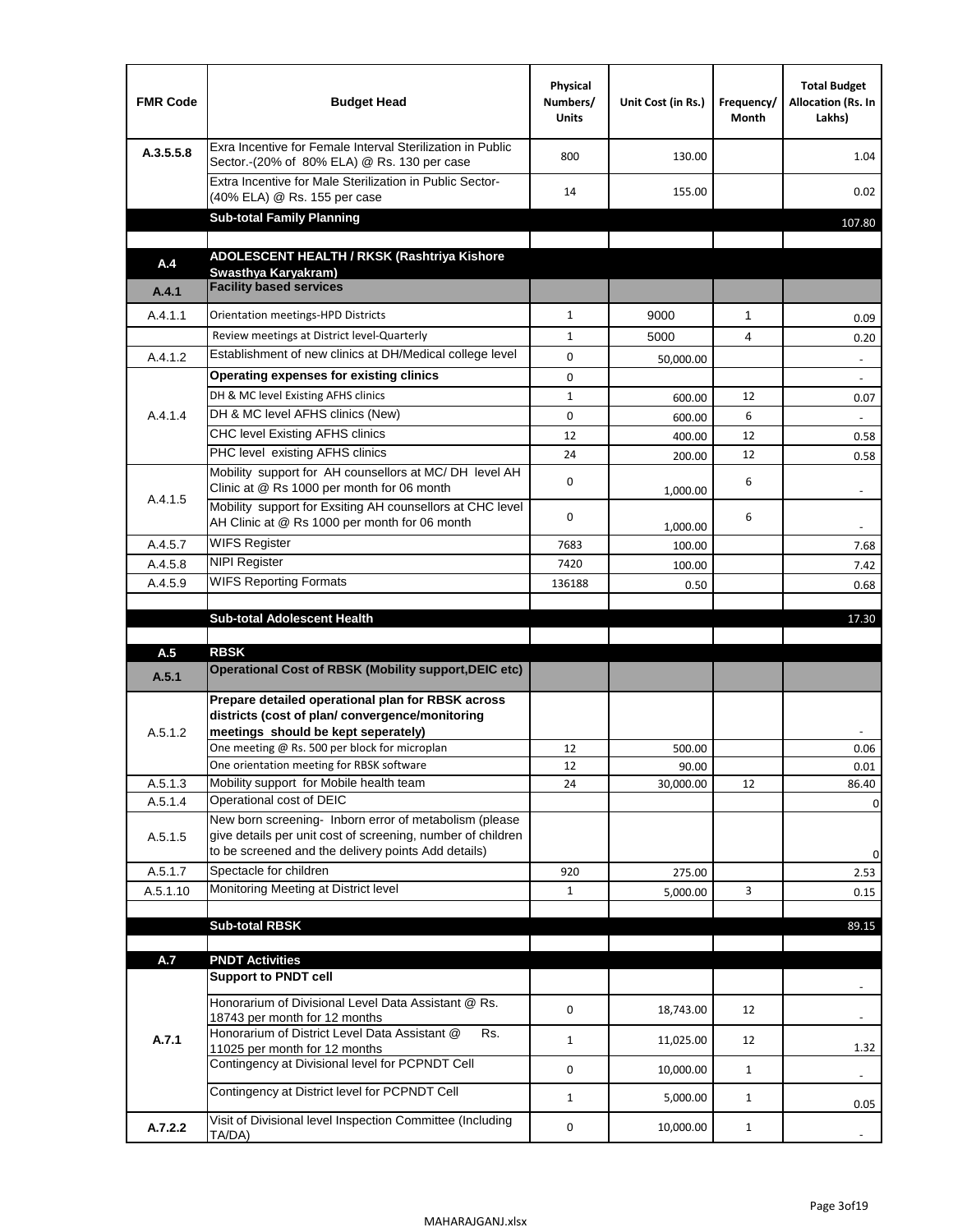| <b>FMR Code</b>    | <b>Budget Head</b>                                                                                                                                                           | Physical<br>Numbers/<br><b>Units</b> | Unit Cost (in Rs.) | Frequency/<br>Month | <b>Total Budget</b><br>Allocation (Rs. In<br>Lakhs) |
|--------------------|------------------------------------------------------------------------------------------------------------------------------------------------------------------------------|--------------------------------------|--------------------|---------------------|-----------------------------------------------------|
| A.3.5.5.8          | Exra Incentive for Female Interval Sterilization in Public<br>Sector.-(20% of 80% ELA) @ Rs. 130 per case                                                                    | 800                                  | 130.00             |                     | 1.04                                                |
|                    | Extra Incentive for Male Sterilization in Public Sector-<br>(40% ELA) @ Rs. 155 per case                                                                                     | 14                                   | 155.00             |                     | 0.02                                                |
|                    | <b>Sub-total Family Planning</b>                                                                                                                                             |                                      |                    |                     | 107.80                                              |
| A.4                | ADOLESCENT HEALTH / RKSK (Rashtriya Kishore                                                                                                                                  |                                      |                    |                     |                                                     |
|                    | Swasthya Karyakram)                                                                                                                                                          |                                      |                    |                     |                                                     |
| A.4.1              | <b>Facility based services</b>                                                                                                                                               |                                      |                    |                     |                                                     |
| A.4.1.1            | Orientation meetings-HPD Districts                                                                                                                                           | $\mathbf{1}$                         | 9000               | $\mathbf{1}$        | 0.09                                                |
|                    | Review meetings at District level-Quarterly                                                                                                                                  | $\mathbf{1}$                         | 5000               | 4                   | 0.20                                                |
| A.4.1.2            | Establishment of new clinics at DH/Medical college level                                                                                                                     | 0                                    | 50,000.00          |                     | $\overline{\phantom{a}}$                            |
|                    | Operating expenses for existing clinics                                                                                                                                      | 0                                    |                    |                     |                                                     |
|                    | DH & MC level Existing AFHS clinics                                                                                                                                          | $\mathbf{1}$                         | 600.00             | 12                  | 0.07                                                |
| A.4.1.4            | DH & MC level AFHS clinics (New)                                                                                                                                             | 0                                    | 600.00             | 6                   |                                                     |
|                    | <b>CHC level Existing AFHS clinics</b>                                                                                                                                       | 12                                   | 400.00             | 12                  | 0.58                                                |
|                    | PHC level existing AFHS clinics                                                                                                                                              | 24                                   | 200.00             | 12                  | 0.58                                                |
| A.4.1.5            | Mobility support for AH counsellors at MC/DH level AH<br>Clinic at @ Rs 1000 per month for 06 month                                                                          | 0                                    | 1,000.00           | 6                   |                                                     |
|                    | Mobility support for Exsiting AH counsellors at CHC level<br>AH Clinic at @ Rs 1000 per month for 06 month                                                                   | 0                                    | 1,000.00           | 6                   | $\sim$                                              |
| A.4.5.7            | <b>WIFS Register</b>                                                                                                                                                         | 7683                                 | 100.00             |                     | 7.68                                                |
| A.4.5.8            | <b>NIPI Register</b>                                                                                                                                                         | 7420                                 | 100.00             |                     | 7.42                                                |
| A.4.5.9            | <b>WIFS Reporting Formats</b>                                                                                                                                                | 136188                               | 0.50               |                     | 0.68                                                |
|                    |                                                                                                                                                                              |                                      |                    |                     |                                                     |
|                    | <b>Sub-total Adolescent Health</b>                                                                                                                                           |                                      |                    |                     | 17.30                                               |
|                    | <b>RBSK</b>                                                                                                                                                                  |                                      |                    |                     |                                                     |
| A.5<br>A.5.1       | Operational Cost of RBSK (Mobility support, DEIC etc)                                                                                                                        |                                      |                    |                     |                                                     |
| A.5.1.2            | Prepare detailed operational plan for RBSK across<br>districts (cost of plan/convergence/monitoring<br>meetings should be kept seperately)                                   |                                      |                    |                     |                                                     |
|                    | One meeting @ Rs. 500 per block for microplan                                                                                                                                | 12                                   | 500.00             |                     | 0.06                                                |
|                    | One orientation meeting for RBSK software                                                                                                                                    | 12                                   | 90.00              |                     | 0.01                                                |
| A.5.1.3            | Mobility support for Mobile health team<br>Operational cost of DEIC                                                                                                          | 24                                   | 30,000.00          | 12                  | 86.40                                               |
| A.5.1.4<br>A.5.1.5 | New born screening- Inborn error of metabolism (please<br>give details per unit cost of screening, number of children<br>to be screened and the delivery points Add details) |                                      |                    |                     | 0<br>0                                              |
| A.5.1.7            | Spectacle for children                                                                                                                                                       | 920                                  | 275.00             |                     | 2.53                                                |
| A.5.1.10           | Monitoring Meeting at District level                                                                                                                                         | $\mathbf{1}$                         | 5,000.00           | 3                   | 0.15                                                |
|                    |                                                                                                                                                                              |                                      |                    |                     |                                                     |
|                    | <b>Sub-total RBSK</b>                                                                                                                                                        |                                      |                    |                     | 89.15                                               |
| A.7                | <b>PNDT Activities</b>                                                                                                                                                       |                                      |                    |                     |                                                     |
|                    | <b>Support to PNDT cell</b>                                                                                                                                                  |                                      |                    |                     |                                                     |
|                    | Honorarium of Divisional Level Data Assistant @ Rs.<br>18743 per month for 12 months                                                                                         | 0                                    | 18,743.00          | 12                  |                                                     |
| A.7.1              | Honorarium of District Level Data Assistant @<br>Rs.                                                                                                                         | $\mathbf{1}$                         | 11,025.00          | 12                  |                                                     |
|                    | 11025 per month for 12 months<br>Contingency at Divisional level for PCPNDT Cell                                                                                             |                                      |                    |                     | 1.32                                                |
|                    | Contingency at District level for PCPNDT Cell                                                                                                                                | 0                                    | 10,000.00          | $\mathbf{1}$        | $\overline{\phantom{a}}$                            |
|                    |                                                                                                                                                                              | $\mathbf{1}$                         | 5,000.00           | $\mathbf{1}$        | 0.05                                                |
| A.7.2.2            | Visit of Divisional level Inspection Committee (Including<br>TA/DA)                                                                                                          | 0                                    | 10,000.00          | $\mathbf{1}$        |                                                     |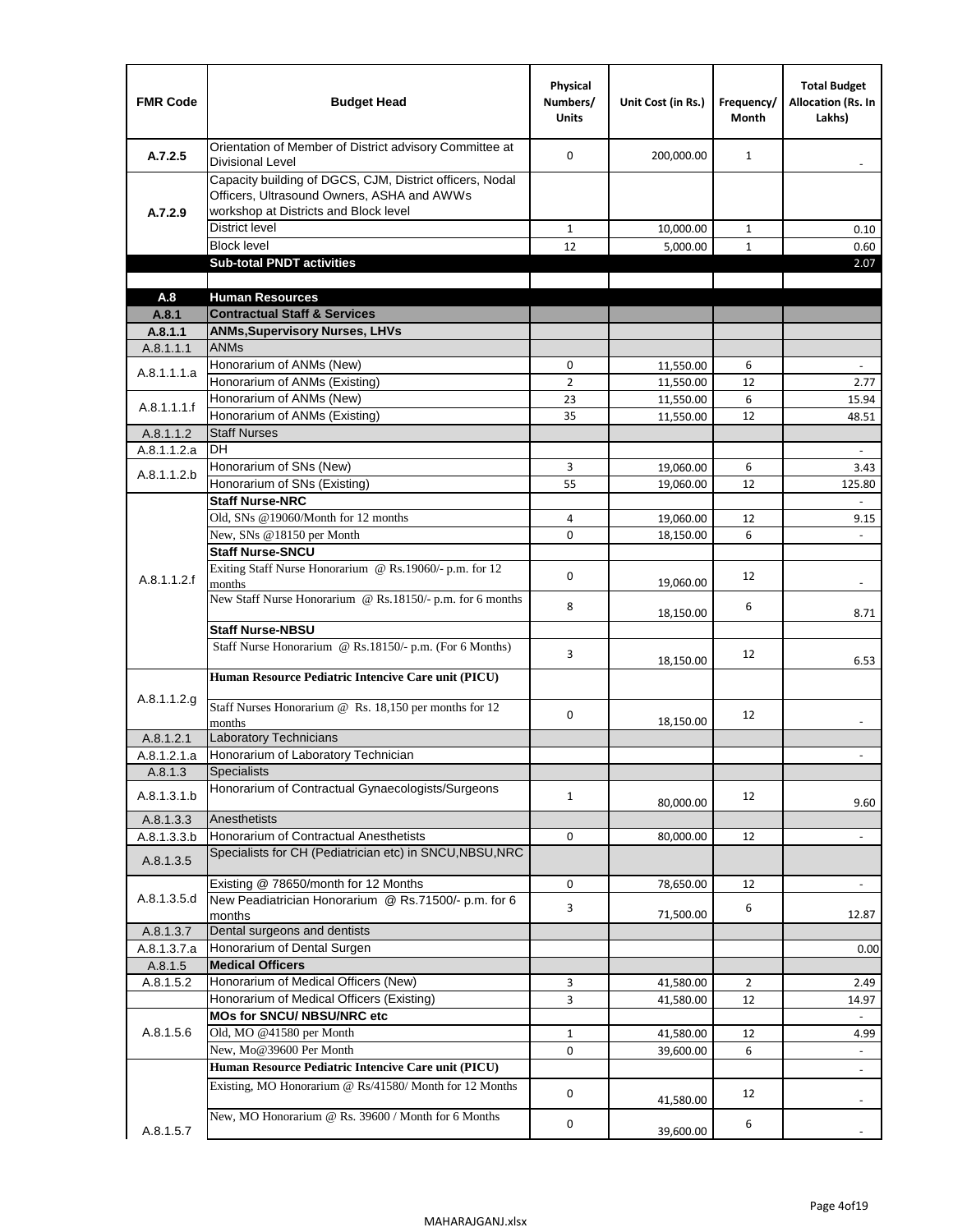| <b>FMR Code</b>          | <b>Budget Head</b>                                                                                                                              | Physical<br>Numbers/<br><b>Units</b> | Unit Cost (in Rs.)     | Frequency/<br><b>Month</b> | <b>Total Budget</b><br><b>Allocation (Rs. In</b><br>Lakhs) |
|--------------------------|-------------------------------------------------------------------------------------------------------------------------------------------------|--------------------------------------|------------------------|----------------------------|------------------------------------------------------------|
| A.7.2.5                  | Orientation of Member of District advisory Committee at<br><b>Divisional Level</b>                                                              | $\Omega$                             | 200,000.00             | $\mathbf{1}$               | $\blacksquare$                                             |
| A.7.2.9                  | Capacity building of DGCS, CJM, District officers, Nodal<br>Officers, Ultrasound Owners, ASHA and AWWs<br>workshop at Districts and Block level |                                      |                        |                            |                                                            |
|                          | <b>District level</b>                                                                                                                           | $\mathbf{1}$                         | 10,000.00              | $\mathbf{1}$               | 0.10                                                       |
|                          | <b>Block level</b>                                                                                                                              | 12                                   | 5,000.00               | $\mathbf{1}$               | 0.60                                                       |
|                          | <b>Sub-total PNDT activities</b>                                                                                                                |                                      |                        |                            | 2.07                                                       |
|                          |                                                                                                                                                 |                                      |                        |                            |                                                            |
| A.8                      | <b>Human Resources</b>                                                                                                                          |                                      |                        |                            |                                                            |
| A.8.1                    | <b>Contractual Staff &amp; Services</b>                                                                                                         |                                      |                        |                            |                                                            |
| A.8.1.1<br>A.8.1.1.1     | <b>ANMs, Supervisory Nurses, LHVs</b><br><b>ANMs</b>                                                                                            |                                      |                        |                            |                                                            |
|                          | Honorarium of ANMs (New)                                                                                                                        | 0                                    |                        | 6                          | $\blacksquare$                                             |
| A.8.1.1.1.a              | Honorarium of ANMs (Existing)                                                                                                                   | $\overline{2}$                       | 11,550.00<br>11,550.00 | 12                         | 2.77                                                       |
|                          | Honorarium of ANMs (New)                                                                                                                        | 23                                   | 11,550.00              | 6                          | 15.94                                                      |
| A.8.1.1.1.f              | Honorarium of ANMs (Existing)                                                                                                                   | 35                                   | 11,550.00              | 12                         | 48.51                                                      |
| A.8.1.1.2                | <b>Staff Nurses</b>                                                                                                                             |                                      |                        |                            |                                                            |
| A.8.1.1.2.a              | <b>DH</b>                                                                                                                                       |                                      |                        |                            | $\blacksquare$                                             |
|                          | Honorarium of SNs (New)                                                                                                                         | 3                                    | 19,060.00              | 6                          | 3.43                                                       |
| A.8.1.1.2.b              | Honorarium of SNs (Existing)                                                                                                                    | 55                                   | 19.060.00              | 12                         | 125.80                                                     |
|                          | <b>Staff Nurse-NRC</b>                                                                                                                          |                                      |                        |                            | $\overline{\phantom{a}}$                                   |
|                          | Old, SNs @19060/Month for 12 months                                                                                                             | 4                                    | 19,060.00              | 12                         | 9.15                                                       |
|                          | New, SNs @18150 per Month                                                                                                                       | 0                                    | 18,150.00              | 6                          |                                                            |
|                          | <b>Staff Nurse-SNCU</b>                                                                                                                         |                                      |                        |                            |                                                            |
| A.8.1.1.2.f              | Exiting Staff Nurse Honorarium @ Rs.19060/- p.m. for 12<br>months                                                                               | $\Omega$                             | 19,060.00              | 12                         | -                                                          |
|                          | New Staff Nurse Honorarium @ Rs.18150/- p.m. for 6 months                                                                                       | 8                                    | 18,150.00              | 6                          | 8.71                                                       |
|                          | <b>Staff Nurse-NBSU</b>                                                                                                                         |                                      |                        |                            |                                                            |
|                          | Staff Nurse Honorarium @ Rs.18150/- p.m. (For 6 Months)                                                                                         | 3                                    | 18,150.00              | 12                         | 6.53                                                       |
| A.8.1.1.2.g              | Human Resource Pediatric Intencive Care unit (PICU)                                                                                             |                                      |                        |                            |                                                            |
|                          | Staff Nurses Honorarium @ Rs. 18,150 per months for 12<br>months                                                                                | 0                                    | 18,150.00              | 12                         |                                                            |
| A.8.1.2.1                | <b>Laboratory Technicians</b>                                                                                                                   |                                      |                        |                            |                                                            |
| A.8.1.2.1.a              | Honorarium of Laboratory Technician                                                                                                             |                                      |                        |                            |                                                            |
| A.8.1.3                  | <b>Specialists</b>                                                                                                                              |                                      |                        |                            |                                                            |
| A.8.1.3.1.b              | Honorarium of Contractual Gynaecologists/Surgeons                                                                                               | $\mathbf{1}$                         | 80,000.00              | 12                         | 9.60                                                       |
| A.8.1.3.3                | Anesthetists<br>Honorarium of Contractual Anesthetists                                                                                          | 0                                    |                        |                            |                                                            |
| A.8.1.3.3.b<br>A.8.1.3.5 | Specialists for CH (Pediatrician etc) in SNCU, NBSU, NRC                                                                                        |                                      | 80,000.00              | 12                         | $\blacksquare$                                             |
|                          | Existing @ 78650/month for 12 Months                                                                                                            | 0                                    | 78,650.00              | 12                         | $\blacksquare$                                             |
| A.8.1.3.5.d              | New Peadiatrician Honorarium @ Rs.71500/- p.m. for 6<br>months                                                                                  | 3                                    | 71,500.00              | 6                          | 12.87                                                      |
| A.8.1.3.7                | Dental surgeons and dentists                                                                                                                    |                                      |                        |                            |                                                            |
| A.8.1.3.7.a              | Honorarium of Dental Surgen                                                                                                                     |                                      |                        |                            | 0.00                                                       |
| A.8.1.5                  | <b>Medical Officers</b>                                                                                                                         |                                      |                        |                            |                                                            |
| A.8.1.5.2                | Honorarium of Medical Officers (New)                                                                                                            | 3                                    | 41,580.00              | $\overline{2}$             | 2.49                                                       |
|                          | Honorarium of Medical Officers (Existing)                                                                                                       | 3                                    | 41,580.00              | 12                         | 14.97                                                      |
|                          | MOs for SNCU/ NBSU/NRC etc                                                                                                                      |                                      |                        |                            |                                                            |
| A.8.1.5.6                | Old, MO @41580 per Month                                                                                                                        | $\mathbf{1}$                         | 41,580.00              | 12                         | 4.99                                                       |
|                          | New, Mo@39600 Per Month                                                                                                                         | 0                                    | 39,600.00              | 6                          | $\blacksquare$                                             |
|                          | Human Resource Pediatric Intencive Care unit (PICU)                                                                                             |                                      |                        |                            | ä,                                                         |
|                          | Existing, MO Honorarium @ Rs/41580/ Month for 12 Months                                                                                         | $\mathbf 0$                          | 41,580.00              | 12                         |                                                            |
| A.8.1.5.7                | New, MO Honorarium @ Rs. 39600 / Month for 6 Months                                                                                             | 0                                    | 39,600.00              | 6                          |                                                            |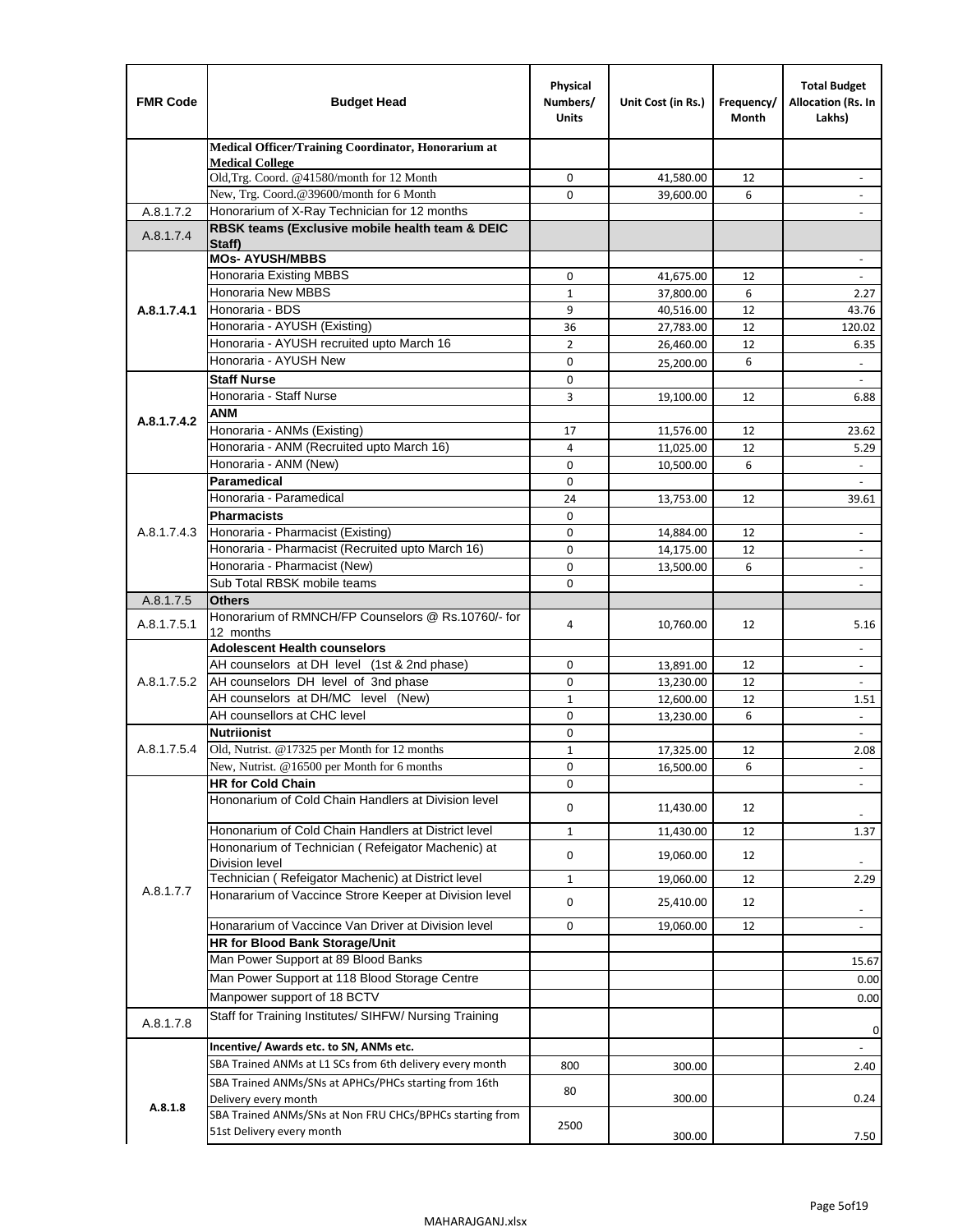| <b>FMR Code</b> | <b>Budget Head</b>                                                   | Physical<br>Numbers/<br><b>Units</b> | Unit Cost (in Rs.) | Frequency/<br>Month | <b>Total Budget</b><br>Allocation (Rs. In<br>Lakhs) |
|-----------------|----------------------------------------------------------------------|--------------------------------------|--------------------|---------------------|-----------------------------------------------------|
|                 | Medical Officer/Training Coordinator, Honorarium at                  |                                      |                    |                     |                                                     |
|                 | <b>Medical College</b><br>Old, Trg. Coord. @41580/month for 12 Month | $\mathbf 0$                          | 41,580.00          | 12                  |                                                     |
|                 | New, Trg. Coord.@39600/month for 6 Month                             | $\Omega$                             | 39,600.00          | 6                   |                                                     |
| A.8.1.7.2       | Honorarium of X-Ray Technician for 12 months                         |                                      |                    |                     |                                                     |
| A.8.1.7.4       | RBSK teams (Exclusive mobile health team & DEIC                      |                                      |                    |                     |                                                     |
|                 | Staff)                                                               |                                      |                    |                     |                                                     |
|                 | <b>MOs- AYUSH/MBBS</b><br><b>Honoraria Existing MBBS</b>             | $\mathbf 0$                          | 41,675.00          | 12                  | $\omega$                                            |
|                 | Honoraria New MBBS                                                   | $\mathbf{1}$                         | 37,800.00          | 6                   | 2.27                                                |
| A.8.1.7.4.1     | Honoraria - BDS                                                      | 9                                    | 40,516.00          | 12                  | 43.76                                               |
|                 | Honoraria - AYUSH (Existing)                                         | 36                                   | 27,783.00          | 12                  | 120.02                                              |
|                 | Honoraria - AYUSH recruited upto March 16                            | $\overline{2}$                       | 26,460.00          | 12                  | 6.35                                                |
|                 | Honoraria - AYUSH New                                                | $\mathbf 0$                          | 25,200.00          | 6                   | $\overline{\phantom{a}}$                            |
|                 | <b>Staff Nurse</b>                                                   | $\Omega$                             |                    |                     |                                                     |
|                 | Honoraria - Staff Nurse                                              | 3                                    | 19,100.00          | 12                  | 6.88                                                |
| A.8.1.7.4.2     | <b>ANM</b>                                                           |                                      |                    |                     |                                                     |
|                 | Honoraria - ANMs (Existing)                                          | 17                                   | 11,576.00          | 12                  | 23.62                                               |
|                 | Honoraria - ANM (Recruited upto March 16)                            | 4                                    | 11,025.00          | 12                  | 5.29                                                |
|                 | Honoraria - ANM (New)<br>Paramedical                                 | 0                                    | 10,500.00          | 6                   |                                                     |
|                 | Honoraria - Paramedical                                              | $\mathbf 0$<br>24                    |                    | 12                  | $\overline{\phantom{a}}$                            |
|                 | <b>Pharmacists</b>                                                   | $\mathbf 0$                          | 13,753.00          |                     | 39.61                                               |
| A.8.1.7.4.3     | Honoraria - Pharmacist (Existing)                                    | $\mathbf 0$                          | 14,884.00          | 12                  | $\overline{\phantom{a}}$                            |
|                 | Honoraria - Pharmacist (Recruited upto March 16)                     | 0                                    | 14,175.00          | 12                  | $\blacksquare$                                      |
|                 | Honoraria - Pharmacist (New)                                         | $\Omega$                             | 13,500.00          | 6                   | $\overline{\phantom{a}}$                            |
|                 | Sub Total RBSK mobile teams                                          | $\Omega$                             |                    |                     | $\overline{\phantom{a}}$                            |
| A.8.1.7.5       | <b>Others</b>                                                        |                                      |                    |                     |                                                     |
| A.8.1.7.5.1     | Honorarium of RMNCH/FP Counselors @ Rs.10760/- for                   | 4                                    | 10,760.00          | 12                  | 5.16                                                |
|                 | 12 months<br><b>Adolescent Health counselors</b>                     |                                      |                    |                     |                                                     |
|                 | AH counselors at DH level (1st & 2nd phase)                          | 0                                    | 13,891.00          | 12                  | $\sim$<br>$\overline{\phantom{a}}$                  |
| A.8.1.7.5.2     | AH counselors DH level of 3nd phase                                  | $\mathbf 0$                          | 13,230.00          | 12                  | $\overline{\phantom{a}}$                            |
|                 | AH counselors at DH/MC level (New)                                   | $\mathbf{1}$                         | 12,600.00          | 12                  | 1.51                                                |
|                 | AH counsellors at CHC level                                          | 0                                    | 13,230.00          | 6                   | $\Box$                                              |
|                 | <b>Nutriionist</b>                                                   | 0                                    |                    |                     | $\blacksquare$                                      |
| A.8.1.7.5.4     | Old, Nutrist. @17325 per Month for 12 months                         | $\mathbf{1}$                         | 17,325.00          | 12                  | 2.08                                                |
|                 | New, Nutrist. $@16500$ per Month for 6 months                        | 0                                    | 16,500.00          | 6                   | $\overline{\phantom{a}}$                            |
|                 | <b>HR for Cold Chain</b>                                             | 0                                    |                    |                     |                                                     |
|                 | Hononarium of Cold Chain Handlers at Division level                  | 0                                    | 11,430.00          | 12                  |                                                     |
|                 | Hononarium of Cold Chain Handlers at District level                  | $1\,$                                | 11,430.00          | 12                  | 1.37                                                |
|                 | Hononarium of Technician (Refeigator Machenic) at                    |                                      |                    |                     |                                                     |
|                 | <b>Division level</b>                                                | 0                                    | 19,060.00          | 12                  | $\overline{\phantom{a}}$                            |
|                 | Technician (Refeigator Machenic) at District level                   | $1\,$                                | 19,060.00          | 12                  | 2.29                                                |
| A.8.1.7.7       | Honararium of Vaccince Strore Keeper at Division level               | 0                                    | 25,410.00          | 12                  | $\overline{\phantom{a}}$                            |
|                 | Honararium of Vaccince Van Driver at Division level                  | 0                                    | 19,060.00          | 12                  | $\overline{\phantom{a}}$                            |
|                 | HR for Blood Bank Storage/Unit                                       |                                      |                    |                     |                                                     |
|                 | Man Power Support at 89 Blood Banks                                  |                                      |                    |                     | 15.67                                               |
|                 | Man Power Support at 118 Blood Storage Centre                        |                                      |                    |                     | 0.00                                                |
|                 | Manpower support of 18 BCTV                                          |                                      |                    |                     | 0.00                                                |
| A.8.1.7.8       | Staff for Training Institutes/ SIHFW/ Nursing Training               |                                      |                    |                     |                                                     |
|                 | Incentive/ Awards etc. to SN, ANMs etc.                              |                                      |                    |                     | 0<br>$\blacksquare$                                 |
|                 | SBA Trained ANMs at L1 SCs from 6th delivery every month             | 800                                  | 300.00             |                     | 2.40                                                |
|                 | SBA Trained ANMs/SNs at APHCs/PHCs starting from 16th                |                                      |                    |                     |                                                     |
|                 | Delivery every month                                                 | 80                                   | 300.00             |                     | 0.24                                                |
| A.8.1.8         | SBA Trained ANMs/SNs at Non FRU CHCs/BPHCs starting from             |                                      |                    |                     |                                                     |
|                 | 51st Delivery every month                                            | 2500                                 | 300.00             |                     | 7.50                                                |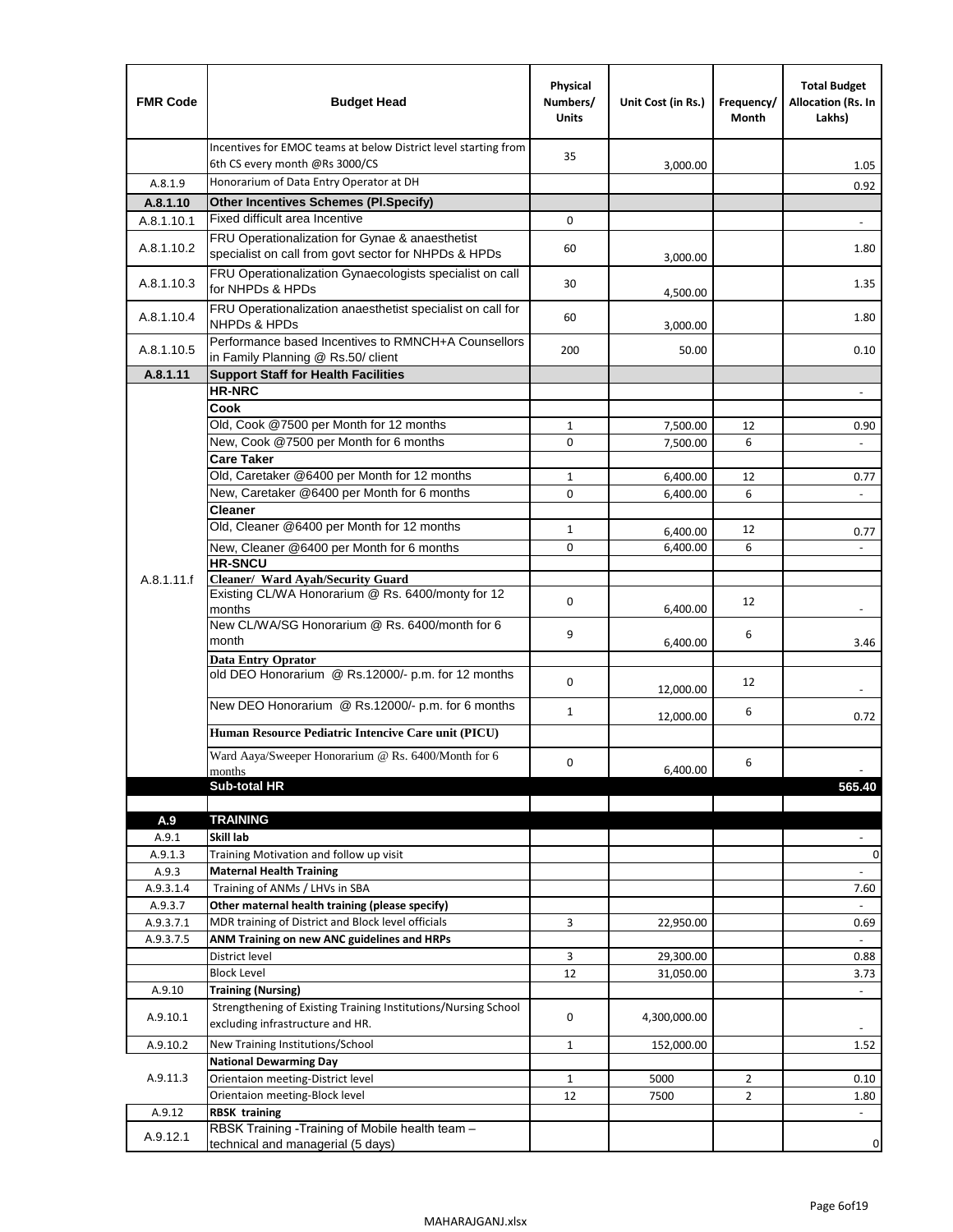| <b>FMR Code</b>      | <b>Budget Head</b>                                                                                    | Physical<br>Numbers/<br><b>Units</b> | Unit Cost (in Rs.) | Frequency/<br>Month | <b>Total Budget</b><br>Allocation (Rs. In<br>Lakhs) |
|----------------------|-------------------------------------------------------------------------------------------------------|--------------------------------------|--------------------|---------------------|-----------------------------------------------------|
|                      | Incentives for EMOC teams at below District level starting from<br>6th CS every month @Rs 3000/CS     | 35                                   |                    |                     |                                                     |
| A.8.1.9              | Honorarium of Data Entry Operator at DH                                                               |                                      | 3,000.00           |                     | 1.05                                                |
| A.8.1.10             | <b>Other Incentives Schemes (Pl.Specify)</b>                                                          |                                      |                    |                     | 0.92                                                |
| A.8.1.10.1           | Fixed difficult area Incentive                                                                        | 0                                    |                    |                     |                                                     |
|                      | FRU Operationalization for Gynae & anaesthetist                                                       |                                      |                    |                     |                                                     |
| A.8.1.10.2           | specialist on call from govt sector for NHPDs & HPDs                                                  | 60                                   | 3,000.00           |                     | 1.80                                                |
| A.8.1.10.3           | FRU Operationalization Gynaecologists specialist on call<br>for NHPDs & HPDs                          | 30                                   | 4,500.00           |                     | 1.35                                                |
| A.8.1.10.4           | FRU Operationalization anaesthetist specialist on call for<br>NHPDs & HPDs                            | 60                                   | 3,000.00           |                     | 1.80                                                |
| A.8.1.10.5           | Performance based Incentives to RMNCH+A Counsellors<br>in Family Planning @ Rs.50/ client             | 200                                  | 50.00              |                     | 0.10                                                |
| A.8.1.11             | <b>Support Staff for Health Facilities</b>                                                            |                                      |                    |                     |                                                     |
|                      | <b>HR-NRC</b>                                                                                         |                                      |                    |                     | $\overline{\phantom{m}}$                            |
|                      | Cook                                                                                                  |                                      |                    |                     |                                                     |
|                      | Old, Cook @7500 per Month for 12 months                                                               | 1                                    | 7,500.00           | 12                  | 0.90                                                |
|                      | New, Cook @7500 per Month for 6 months                                                                | 0                                    | 7,500.00           | 6                   | $\overline{\phantom{a}}$                            |
|                      | <b>Care Taker</b>                                                                                     |                                      |                    |                     |                                                     |
|                      | Old, Caretaker @6400 per Month for 12 months                                                          | $\mathbf{1}$                         | 6,400.00           | 12                  | 0.77                                                |
|                      | New, Caretaker @6400 per Month for 6 months                                                           | $\Omega$                             | 6,400.00           | 6                   |                                                     |
|                      | <b>Cleaner</b>                                                                                        |                                      |                    |                     |                                                     |
|                      | Old, Cleaner @6400 per Month for 12 months                                                            | 1                                    | 6,400.00           | 12                  | 0.77                                                |
|                      | New, Cleaner @6400 per Month for 6 months                                                             | 0                                    | 6,400.00           | 6                   |                                                     |
|                      | <b>HR-SNCU</b>                                                                                        |                                      |                    |                     |                                                     |
| A.8.1.11.f           | Cleaner/ Ward Ayah/Security Guard<br>Existing CL/WA Honorarium @ Rs. 6400/monty for 12                |                                      |                    |                     |                                                     |
|                      | months                                                                                                | 0                                    | 6,400.00           | 12                  |                                                     |
|                      | New CL/WA/SG Honorarium @ Rs. 6400/month for 6                                                        |                                      |                    |                     |                                                     |
|                      | month                                                                                                 | 9                                    | 6,400.00           | 6                   | 3.46                                                |
|                      | <b>Data Entry Oprator</b>                                                                             |                                      |                    |                     |                                                     |
|                      | old DEO Honorarium @ Rs.12000/- p.m. for 12 months                                                    | $\mathbf 0$                          |                    | 12                  |                                                     |
|                      | New DEO Honorarium @ Rs.12000/- p.m. for 6 months                                                     |                                      | 12,000.00          |                     |                                                     |
|                      |                                                                                                       | $\mathbf{1}$                         | 12,000.00          | 6                   | 0.72                                                |
|                      | Human Resource Pediatric Intencive Care unit (PICU)                                                   |                                      |                    |                     |                                                     |
|                      | Ward Aaya/Sweeper Honorarium @ Rs. 6400/Month for 6                                                   |                                      |                    |                     |                                                     |
|                      | months                                                                                                | $\Omega$                             | 6,400.00           | 6                   | $\overline{\phantom{a}}$                            |
|                      | <b>Sub-total HR</b>                                                                                   |                                      |                    |                     | 565.40                                              |
|                      |                                                                                                       |                                      |                    |                     |                                                     |
| A.9                  | <b>TRAINING</b>                                                                                       |                                      |                    |                     |                                                     |
| A.9.1                | Skill lab                                                                                             |                                      |                    |                     |                                                     |
| A.9.1.3              | Training Motivation and follow up visit                                                               |                                      |                    |                     | 0                                                   |
| A.9.3                | <b>Maternal Health Training</b>                                                                       |                                      |                    |                     | $\overline{\phantom{a}}$                            |
| A.9.3.1.4            | Training of ANMs / LHVs in SBA                                                                        |                                      |                    |                     | 7.60                                                |
| A.9.3.7<br>A.9.3.7.1 | Other maternal health training (please specify)<br>MDR training of District and Block level officials | 3                                    |                    |                     |                                                     |
|                      |                                                                                                       |                                      | 22,950.00          |                     | 0.69<br>$\omega$                                    |
| A.9.3.7.5            | ANM Training on new ANC guidelines and HRPs<br>District level                                         | 3                                    | 29,300.00          |                     | 0.88                                                |
|                      | <b>Block Level</b>                                                                                    | 12                                   |                    |                     | 3.73                                                |
| A.9.10               | <b>Training (Nursing)</b>                                                                             |                                      | 31,050.00          |                     | $\overline{\phantom{a}}$                            |
|                      | Strengthening of Existing Training Institutions/Nursing School                                        |                                      |                    |                     |                                                     |
| A.9.10.1             | excluding infrastructure and HR.                                                                      | 0                                    | 4,300,000.00       |                     |                                                     |
| A.9.10.2             | New Training Institutions/School                                                                      | 1                                    | 152,000.00         |                     | 1.52                                                |
|                      | <b>National Dewarming Day</b>                                                                         |                                      |                    |                     |                                                     |
| A.9.11.3             | Orientaion meeting-District level                                                                     | 1                                    | 5000               | $\overline{2}$      | 0.10                                                |
|                      | Orientaion meeting-Block level                                                                        | 12                                   | 7500               | $\overline{2}$      | 1.80                                                |
| A.9.12               | <b>RBSK training</b>                                                                                  |                                      |                    |                     | $\overline{\phantom{a}}$                            |
| A.9.12.1             | RBSK Training -Training of Mobile health team -<br>technical and managerial (5 days)                  |                                      |                    |                     | 0                                                   |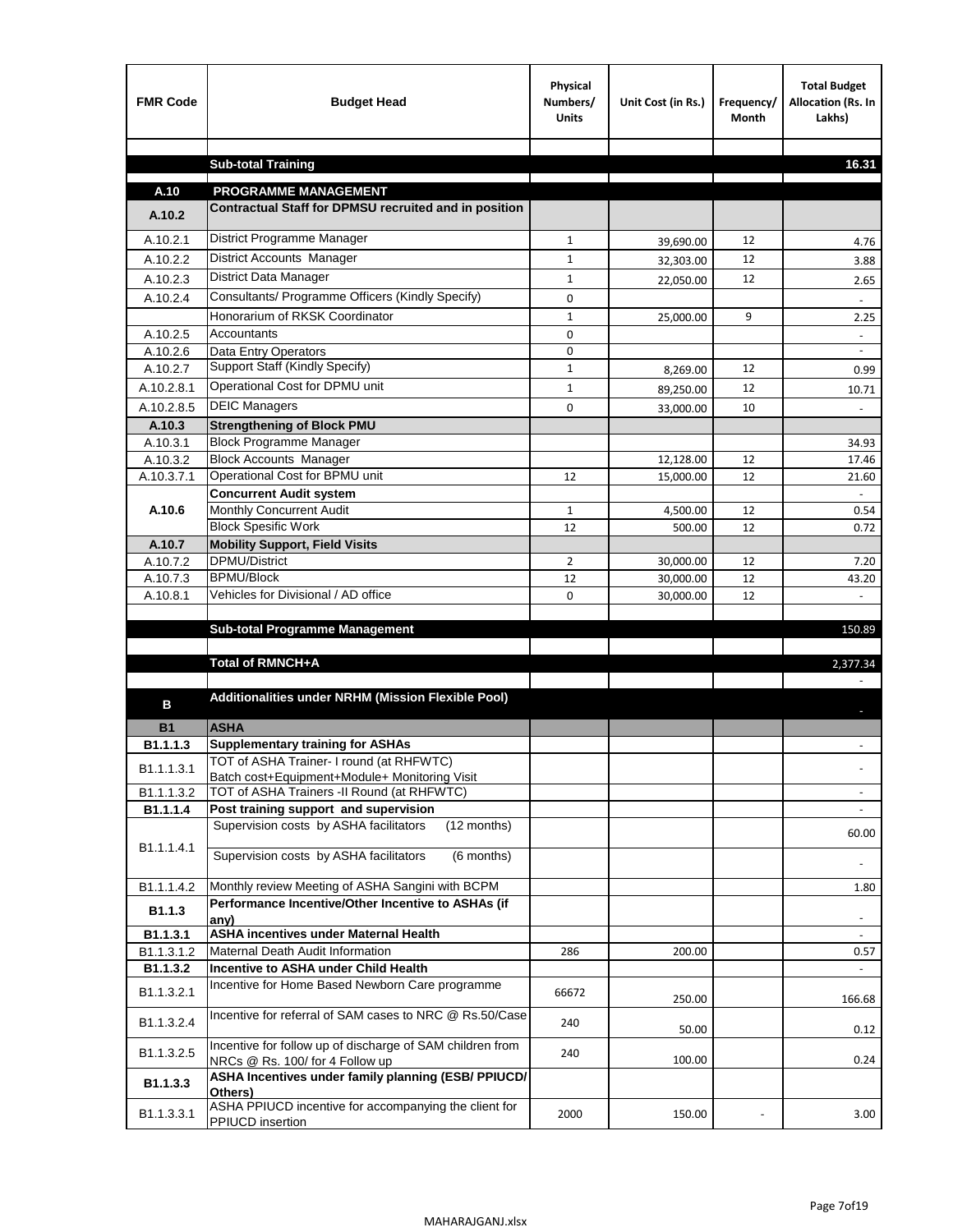| <b>FMR Code</b>      | <b>Budget Head</b>                                                                           | Physical<br>Numbers/<br><b>Units</b> | Unit Cost (in Rs.)     | Frequency/<br><b>Month</b> | <b>Total Budget</b><br>Allocation (Rs. In<br>Lakhs) |
|----------------------|----------------------------------------------------------------------------------------------|--------------------------------------|------------------------|----------------------------|-----------------------------------------------------|
|                      |                                                                                              |                                      |                        |                            |                                                     |
|                      | <b>Sub-total Training</b>                                                                    |                                      |                        |                            | 16.31                                               |
| A.10                 | <b>PROGRAMME MANAGEMENT</b>                                                                  |                                      |                        |                            |                                                     |
| A.10.2               | Contractual Staff for DPMSU recruited and in position                                        |                                      |                        |                            |                                                     |
| A.10.2.1             | District Programme Manager                                                                   | $\mathbf{1}$                         |                        | 12                         |                                                     |
| A.10.2.2             | District Accounts Manager                                                                    | 1                                    | 39,690.00              | 12                         | 4.76                                                |
| A.10.2.3             | District Data Manager                                                                        | $\mathbf{1}$                         | 32,303.00              | 12                         | 3.88                                                |
| A.10.2.4             | Consultants/ Programme Officers (Kindly Specify)                                             | $\mathbf 0$                          | 22,050.00              |                            | 2.65                                                |
|                      | Honorarium of RKSK Coordinator                                                               |                                      |                        |                            |                                                     |
| A.10.2.5             | Accountants                                                                                  | $\mathbf{1}$<br>0                    | 25,000.00              | 9                          | 2.25                                                |
| A.10.2.6             | Data Entry Operators                                                                         | 0                                    |                        |                            | $\sim$                                              |
| A.10.2.7             | Support Staff (Kindly Specify)                                                               | $\mathbf{1}$                         | 8,269.00               | 12                         | 0.99                                                |
| A.10.2.8.1           | Operational Cost for DPMU unit                                                               | $\mathbf{1}$                         | 89,250.00              | 12                         | 10.71                                               |
| A.10.2.8.5           | <b>DEIC Managers</b>                                                                         | $\mathbf 0$                          | 33,000.00              | 10                         |                                                     |
| A.10.3               | <b>Strengthening of Block PMU</b>                                                            |                                      |                        |                            |                                                     |
| A.10.3.1             | <b>Block Programme Manager</b>                                                               |                                      |                        |                            | 34.93                                               |
| A.10.3.2             | <b>Block Accounts Manager</b>                                                                |                                      | 12,128.00              | 12                         | 17.46                                               |
| A.10.3.7.1           | Operational Cost for BPMU unit                                                               | 12                                   | 15,000.00              | 12                         | 21.60                                               |
|                      | <b>Concurrent Audit system</b>                                                               |                                      |                        |                            |                                                     |
| A.10.6               | Monthly Concurrent Audit                                                                     | $\mathbf{1}$                         | 4,500.00               | 12                         | 0.54                                                |
|                      | <b>Block Spesific Work</b>                                                                   | 12                                   | 500.00                 | 12                         | 0.72                                                |
| A.10.7               | <b>Mobility Support, Field Visits</b>                                                        |                                      |                        |                            |                                                     |
| A.10.7.2<br>A.10.7.3 | DPMU/District<br><b>BPMU/Block</b>                                                           | $\overline{2}$<br>12                 | 30,000.00              | 12<br>12                   | 7.20                                                |
| A.10.8.1             | Vehicles for Divisional / AD office                                                          | 0                                    | 30,000.00<br>30,000.00 | 12                         | 43.20                                               |
|                      |                                                                                              |                                      |                        |                            |                                                     |
|                      | <b>Sub-total Programme Management</b>                                                        |                                      |                        |                            | 150.89                                              |
|                      |                                                                                              |                                      |                        |                            |                                                     |
|                      | Total of RMNCH+A                                                                             |                                      |                        |                            | 2,377.34                                            |
|                      |                                                                                              |                                      |                        |                            |                                                     |
| в                    | Additionalities under NRHM (Mission Flexible Pool)                                           |                                      |                        |                            |                                                     |
| <b>B1</b>            | <b>ASHA</b>                                                                                  |                                      |                        |                            |                                                     |
| B1.1.1.3             | <b>Supplementary training for ASHAs</b>                                                      |                                      |                        |                            |                                                     |
| B1.1.1.3.1           | TOT of ASHA Trainer- I round (at RHFWTC)                                                     |                                      |                        |                            |                                                     |
|                      | Batch cost+Equipment+Module+ Monitoring Visit                                                |                                      |                        |                            |                                                     |
| B1.1.1.3.2           | TOT of ASHA Trainers -II Round (at RHFWTC)                                                   |                                      |                        |                            |                                                     |
| B1.1.1.4             | Post training support and supervision                                                        |                                      |                        |                            | $\omega$                                            |
|                      | Supervision costs by ASHA facilitators<br>(12 months)                                        |                                      |                        |                            | 60.00                                               |
| B1.1.1.4.1           | Supervision costs by ASHA facilitators<br>(6 months)                                         |                                      |                        |                            |                                                     |
|                      |                                                                                              |                                      |                        |                            |                                                     |
| B1.1.1.4.2           | Monthly review Meeting of ASHA Sangini with BCPM                                             |                                      |                        |                            | 1.80                                                |
| B <sub>1.1.3</sub>   | Performance Incentive/Other Incentive to ASHAs (if                                           |                                      |                        |                            |                                                     |
| B1.1.3.1             | any)<br><b>ASHA incentives under Maternal Health</b>                                         |                                      |                        |                            |                                                     |
| B1.1.3.1.2           | Maternal Death Audit Information                                                             | 286                                  | 200.00                 |                            | 0.57                                                |
| B1.1.3.2             | Incentive to ASHA under Child Health                                                         |                                      |                        |                            | ÷.                                                  |
| B1.1.3.2.1           | Incentive for Home Based Newborn Care programme                                              | 66672                                | 250.00                 |                            | 166.68                                              |
| B1.1.3.2.4           | Incentive for referral of SAM cases to NRC @ Rs.50/Case                                      | 240                                  | 50.00                  |                            | 0.12                                                |
| B1.1.3.2.5           | Incentive for follow up of discharge of SAM children from<br>NRCs @ Rs. 100/ for 4 Follow up | 240                                  | 100.00                 |                            | 0.24                                                |
| B1.1.3.3             | ASHA Incentives under family planning (ESB/ PPIUCD/<br>Others)                               |                                      |                        |                            |                                                     |
| B1.1.3.3.1           | ASHA PPIUCD incentive for accompanying the client for<br>PPIUCD insertion                    | 2000                                 | 150.00                 |                            | 3.00                                                |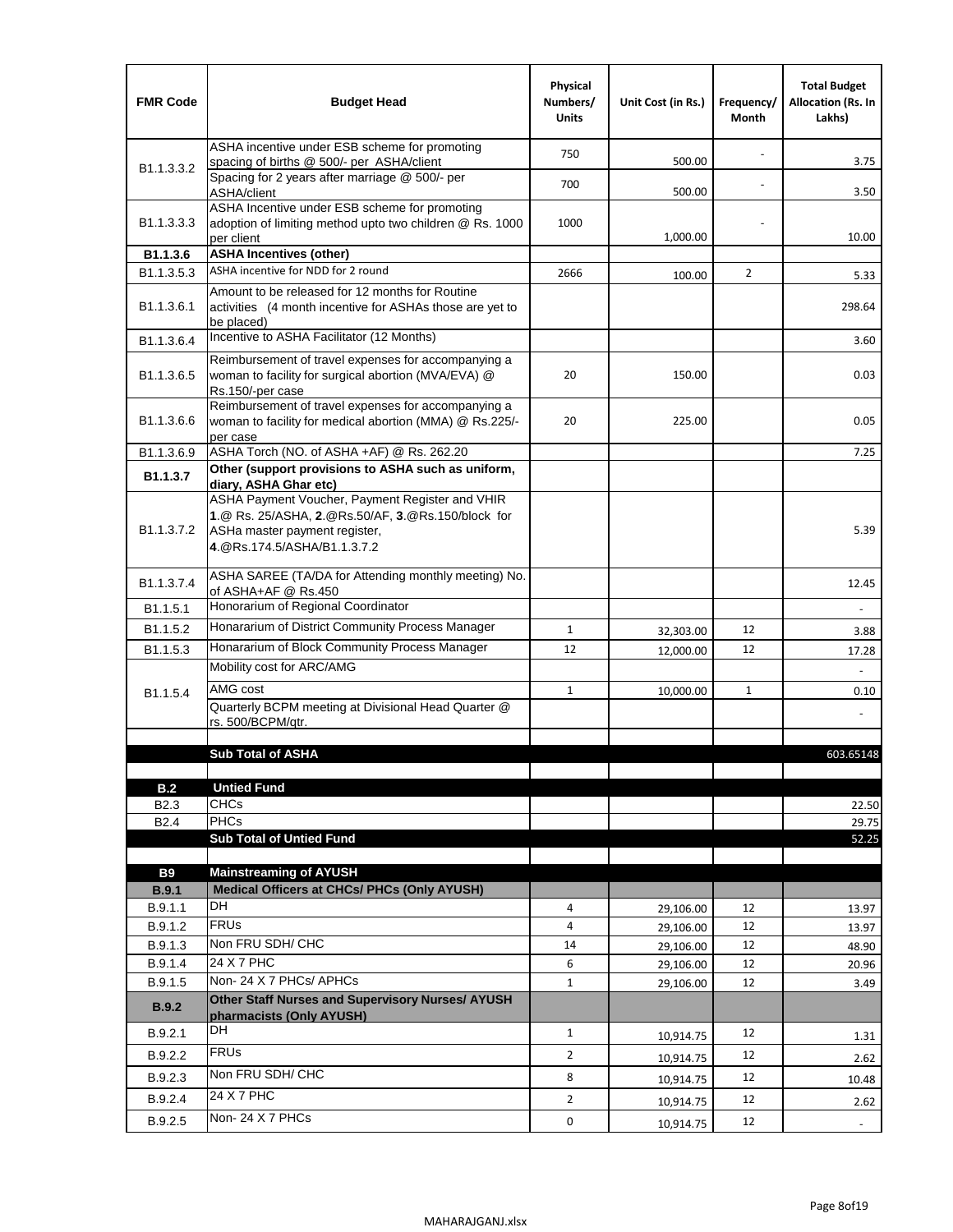| <b>FMR Code</b>            | <b>Budget Head</b>                                                                                                                                                    | Physical<br>Numbers/<br><b>Units</b> | Unit Cost (in Rs.)     | Frequency/<br>Month | <b>Total Budget</b><br><b>Allocation (Rs. In</b><br>Lakhs) |
|----------------------------|-----------------------------------------------------------------------------------------------------------------------------------------------------------------------|--------------------------------------|------------------------|---------------------|------------------------------------------------------------|
|                            | ASHA incentive under ESB scheme for promoting<br>spacing of births @ 500/- per ASHA/client                                                                            | 750                                  | 500.00                 |                     | 3.75                                                       |
| B <sub>1.1</sub> , 3, 3, 2 | Spacing for 2 years after marriage @ 500/- per<br>ASHA/client                                                                                                         | 700                                  | 500.00                 |                     | 3.50                                                       |
| B1.1.3.3.3                 | ASHA Incentive under ESB scheme for promoting<br>adoption of limiting method upto two children @ Rs. 1000<br>per client                                               | 1000                                 | 1,000.00               |                     | 10.00                                                      |
| B1.1.3.6                   | <b>ASHA Incentives (other)</b>                                                                                                                                        |                                      |                        |                     |                                                            |
| B <sub>1.1</sub> , 3, 5, 3 | ASHA incentive for NDD for 2 round                                                                                                                                    | 2666                                 | 100.00                 | $\overline{2}$      | 5.33                                                       |
| B <sub>1.1</sub> .3.6.1    | Amount to be released for 12 months for Routine<br>activities (4 month incentive for ASHAs those are yet to<br>be placed)                                             |                                      |                        |                     | 298.64                                                     |
| B1.1.3.6.4                 | Incentive to ASHA Facilitator (12 Months)                                                                                                                             |                                      |                        |                     | 3.60                                                       |
| B <sub>1.1</sub> .3.6.5    | Reimbursement of travel expenses for accompanying a<br>woman to facility for surgical abortion (MVA/EVA) @<br>Rs.150/-per case                                        | 20                                   | 150.00                 |                     | 0.03                                                       |
| B <sub>1.1</sub> .3.6.6    | Reimbursement of travel expenses for accompanying a<br>woman to facility for medical abortion (MMA) @ Rs.225/-<br>per case                                            | 20                                   | 225.00                 |                     | 0.05                                                       |
| B1.1.3.6.9                 | ASHA Torch (NO. of ASHA +AF) @ Rs. 262.20                                                                                                                             |                                      |                        |                     | 7.25                                                       |
| B1.1.3.7                   | Other (support provisions to ASHA such as uniform,<br>diary, ASHA Ghar etc)                                                                                           |                                      |                        |                     |                                                            |
| B <sub>1.1</sub> .3.7.2    | ASHA Payment Voucher, Payment Register and VHIR<br>1.@ Rs. 25/ASHA, 2.@Rs.50/AF, 3.@Rs.150/block for<br>ASHa master payment register,<br>4. @Rs.174.5/ASHA/B1.1.3.7.2 |                                      |                        |                     | 5.39                                                       |
| B <sub>1.1</sub> , 3.7.4   | ASHA SAREE (TA/DA for Attending monthly meeting) No.<br>of ASHA+AF @ Rs.450                                                                                           |                                      |                        |                     | 12.45                                                      |
| B1.1.5.1                   | Honorarium of Regional Coordinator                                                                                                                                    |                                      |                        |                     | ÷,                                                         |
| B <sub>1.1.5.2</sub>       | Honararium of District Community Process Manager                                                                                                                      | $\mathbf{1}$                         | 32,303.00              | 12                  | 3.88                                                       |
| B1.1.5.3                   | Honararium of Block Community Process Manager                                                                                                                         | 12                                   | 12,000.00              | 12                  | 17.28                                                      |
|                            | Mobility cost for ARC/AMG                                                                                                                                             |                                      |                        |                     |                                                            |
| B <sub>1.1.5.4</sub>       | AMG cost                                                                                                                                                              | $\mathbf{1}$                         | 10,000.00              | $\mathbf{1}$        | 0.10                                                       |
|                            | Quarterly BCPM meeting at Divisional Head Quarter @<br>rs. 500/BCPM/atr.                                                                                              |                                      |                        |                     |                                                            |
|                            |                                                                                                                                                                       |                                      |                        |                     |                                                            |
|                            | <b>Sub Total of ASHA</b>                                                                                                                                              |                                      |                        |                     | 603.65148                                                  |
| B.2                        | <b>Untied Fund</b>                                                                                                                                                    |                                      |                        |                     |                                                            |
| B <sub>2.3</sub>           | <b>CHCs</b>                                                                                                                                                           |                                      |                        |                     | 22.50                                                      |
| B <sub>2.4</sub>           | <b>PHCs</b>                                                                                                                                                           |                                      |                        |                     | 29.75                                                      |
|                            | <b>Sub Total of Untied Fund</b>                                                                                                                                       |                                      |                        |                     | 52.25                                                      |
|                            |                                                                                                                                                                       |                                      |                        |                     |                                                            |
| <b>B9</b>                  | <b>Mainstreaming of AYUSH</b>                                                                                                                                         |                                      |                        |                     |                                                            |
| B.9.1<br>B.9.1.1           | Medical Officers at CHCs/ PHCs (Only AYUSH)<br>DH                                                                                                                     | 4                                    |                        | 12                  |                                                            |
| B.9.1.2                    | <b>FRUs</b>                                                                                                                                                           | 4                                    | 29,106.00              | 12                  | 13.97                                                      |
| B.9.1.3                    | Non FRU SDH/ CHC                                                                                                                                                      | 14                                   | 29,106.00              | 12                  | 13.97<br>48.90                                             |
| B.9.1.4                    | 24 X 7 PHC                                                                                                                                                            | 6                                    | 29,106.00<br>29,106.00 | 12                  | 20.96                                                      |
| B.9.1.5                    | Non-24 X 7 PHCs/ APHCs                                                                                                                                                | $\mathbf{1}$                         | 29,106.00              | 12                  | 3.49                                                       |
| <b>B.9.2</b>               | Other Staff Nurses and Supervisory Nurses/ AYUSH<br>pharmacists (Only AYUSH)                                                                                          |                                      |                        |                     |                                                            |
| B.9.2.1                    | DH                                                                                                                                                                    | $\mathbf{1}$                         | 10,914.75              | 12                  | 1.31                                                       |
| B.9.2.2                    | <b>FRUs</b>                                                                                                                                                           | $\overline{2}$                       |                        | 12                  |                                                            |
| B.9.2.3                    | Non FRU SDH/ CHC                                                                                                                                                      |                                      | 10,914.75              |                     | 2.62                                                       |
|                            | 24 X 7 PHC                                                                                                                                                            | 8                                    | 10,914.75              | 12                  | 10.48                                                      |
| B.9.2.4                    |                                                                                                                                                                       | $\overline{2}$                       | 10,914.75              | 12                  | 2.62                                                       |
| B.9.2.5                    | Non-24 X 7 PHCs                                                                                                                                                       | 0                                    | 10,914.75              | 12                  | $\blacksquare$                                             |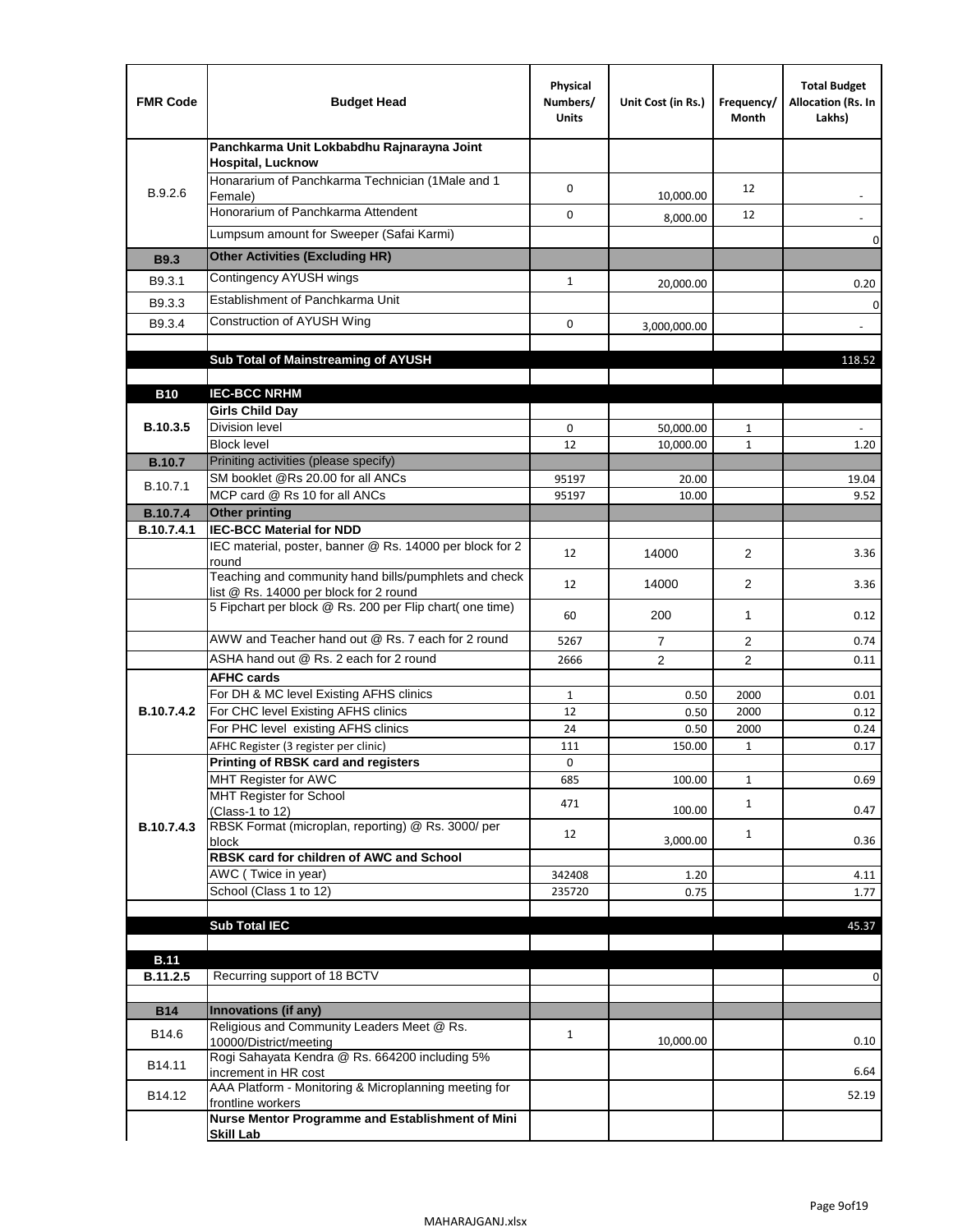| <b>FMR Code</b>               | <b>Budget Head</b>                                                                              | Physical<br>Numbers/<br><b>Units</b> | Unit Cost (in Rs.) | Frequency/<br>Month | <b>Total Budget</b><br>Allocation (Rs. In<br>Lakhs) |
|-------------------------------|-------------------------------------------------------------------------------------------------|--------------------------------------|--------------------|---------------------|-----------------------------------------------------|
|                               | Panchkarma Unit Lokbabdhu Rajnarayna Joint<br><b>Hospital, Lucknow</b>                          |                                      |                    |                     |                                                     |
| B.9.2.6                       | Honararium of Panchkarma Technician (1Male and 1<br>Female)                                     | 0                                    | 10,000.00          | 12                  |                                                     |
|                               | Honorarium of Panchkarma Attendent                                                              | 0                                    | 8,000.00           | 12                  |                                                     |
|                               | Lumpsum amount for Sweeper (Safai Karmi)                                                        |                                      |                    |                     | 0                                                   |
| <b>B9.3</b>                   | <b>Other Activities (Excluding HR)</b>                                                          |                                      |                    |                     |                                                     |
| B9.3.1                        | Contingency AYUSH wings                                                                         | $\mathbf{1}$                         | 20,000.00          |                     | 0.20                                                |
| B9.3.3                        | Establishment of Panchkarma Unit                                                                |                                      |                    |                     | $\mathbf 0$                                         |
| B9.3.4                        | Construction of AYUSH Wing                                                                      | 0                                    | 3,000,000.00       |                     |                                                     |
|                               |                                                                                                 |                                      |                    |                     |                                                     |
|                               | Sub Total of Mainstreaming of AYUSH                                                             |                                      |                    |                     | 118.52                                              |
|                               |                                                                                                 |                                      |                    |                     |                                                     |
| <b>B10</b>                    | <b>IEC-BCC NRHM</b>                                                                             |                                      |                    |                     |                                                     |
| B.10.3.5                      | <b>Girls Child Day</b><br><b>Division level</b>                                                 | 0                                    | 50,000.00          | 1                   |                                                     |
|                               | <b>Block level</b>                                                                              | 12                                   | 10,000.00          | $\mathbf{1}$        | 1.20                                                |
| <b>B.10.7</b>                 | Priniting activities (please specify)                                                           |                                      |                    |                     |                                                     |
| B.10.7.1                      | SM booklet @Rs 20.00 for all ANCs                                                               | 95197                                | 20.00              |                     | 19.04                                               |
|                               | MCP card @ Rs 10 for all ANCs                                                                   | 95197                                | 10.00              |                     | 9.52                                                |
| <b>B.10.7.4</b><br>B.10.7.4.1 | <b>Other printing</b><br><b>IEC-BCC Material for NDD</b>                                        |                                      |                    |                     |                                                     |
|                               | IEC material, poster, banner @ Rs. 14000 per block for 2<br>round                               | 12                                   | 14000              | $\overline{2}$      | 3.36                                                |
|                               | Teaching and community hand bills/pumphlets and check<br>list @ Rs. 14000 per block for 2 round | 12                                   | 14000              | $\overline{2}$      | 3.36                                                |
|                               | 5 Fipchart per block @ Rs. 200 per Flip chart( one time)                                        | 60                                   | 200                | 1                   | 0.12                                                |
|                               | AWW and Teacher hand out @ Rs. 7 each for 2 round                                               | 5267                                 | $\overline{7}$     | 2                   | 0.74                                                |
|                               | ASHA hand out @ Rs. 2 each for 2 round                                                          | 2666                                 | $\overline{2}$     | $\overline{2}$      | 0.11                                                |
|                               | <b>AFHC cards</b>                                                                               |                                      |                    |                     |                                                     |
| <b>B.10.7.4.2</b>             | For DH & MC level Existing AFHS clinics<br>For CHC level Existing AFHS clinics                  | 1                                    | 0.50<br>0.50       | 2000<br>2000        | 0.01                                                |
|                               | For PHC level existing AFHS clinics                                                             | 12<br>24                             | 0.50               | 2000                | 0.12<br>0.24                                        |
|                               | AFHC Register (3 register per clinic)                                                           | 111                                  | 150.00             | $\mathbf{1}$        | 0.17                                                |
|                               | Printing of RBSK card and registers                                                             | 0                                    |                    |                     |                                                     |
|                               | MHT Register for AWC                                                                            | 685                                  | 100.00             | $\mathbf{1}$        | 0.69                                                |
|                               | MHT Register for School<br>(Class-1 to 12)                                                      | 471                                  | 100.00             | $\mathbf{1}$        | 0.47                                                |
| B.10.7.4.3                    | RBSK Format (microplan, reporting) @ Rs. 3000/ per                                              | 12                                   |                    | $\mathbf{1}$        |                                                     |
|                               | block<br>RBSK card for children of AWC and School                                               |                                      | 3,000.00           |                     | 0.36                                                |
|                               | AWC (Twice in year)                                                                             | 342408                               | 1.20               |                     | 4.11                                                |
|                               | School (Class 1 to 12)                                                                          | 235720                               | 0.75               |                     | 1.77                                                |
|                               |                                                                                                 |                                      |                    |                     |                                                     |
|                               | <b>Sub Total IEC</b>                                                                            |                                      |                    |                     | 45.37                                               |
| <b>B.11</b>                   |                                                                                                 |                                      |                    |                     |                                                     |
| B.11.2.5                      | Recurring support of 18 BCTV                                                                    |                                      |                    |                     | 0                                                   |
|                               |                                                                                                 |                                      |                    |                     |                                                     |
| <b>B14</b>                    | Innovations (if any)                                                                            |                                      |                    |                     |                                                     |
| B14.6                         | Religious and Community Leaders Meet @ Rs.<br>10000/District/meeting                            | $\mathbf{1}$                         | 10,000.00          |                     | 0.10                                                |
| B14.11                        | Rogi Sahayata Kendra @ Rs. 664200 including 5%<br>increment in HR cost                          |                                      |                    |                     | 6.64                                                |
| B14.12                        | AAA Platform - Monitoring & Microplanning meeting for<br>frontline workers                      |                                      |                    |                     | 52.19                                               |
|                               | Nurse Mentor Programme and Establishment of Mini                                                |                                      |                    |                     |                                                     |
|                               | <b>Skill Lab</b>                                                                                |                                      |                    |                     |                                                     |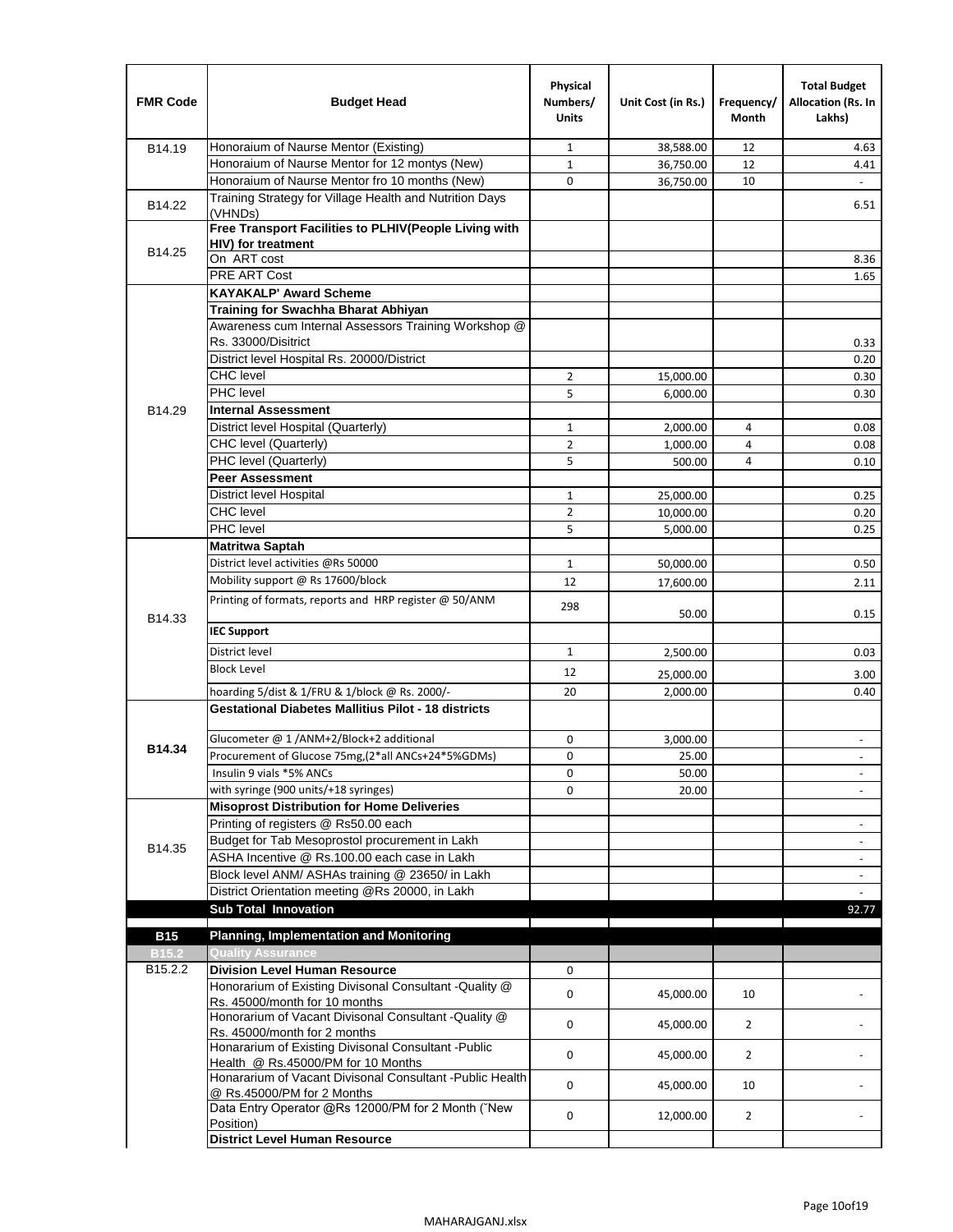| <b>FMR Code</b>     | <b>Budget Head</b>                                                                              | Physical<br>Numbers/<br><b>Units</b> | Unit Cost (in Rs.) | Frequency/<br>Month | <b>Total Budget</b><br>Allocation (Rs. In<br>Lakhs) |
|---------------------|-------------------------------------------------------------------------------------------------|--------------------------------------|--------------------|---------------------|-----------------------------------------------------|
| B14.19              | Honoraium of Naurse Mentor (Existing)                                                           | 1                                    | 38,588.00          | 12                  | 4.63                                                |
|                     | Honoraium of Naurse Mentor for 12 montys (New)                                                  | $\mathbf 1$                          | 36,750.00          | 12                  | 4.41                                                |
|                     | Honoraium of Naurse Mentor fro 10 months (New)                                                  | 0                                    | 36,750.00          | 10                  | $\blacksquare$                                      |
| B14.22              | Training Strategy for Village Health and Nutrition Days<br>(VHNDs)                              |                                      |                    |                     | 6.51                                                |
|                     | Free Transport Facilities to PLHIV(People Living with                                           |                                      |                    |                     |                                                     |
| B14.25              | HIV) for treatment                                                                              |                                      |                    |                     |                                                     |
|                     | On ART cost                                                                                     |                                      |                    |                     | 8.36                                                |
|                     | <b>PRE ART Cost</b>                                                                             |                                      |                    |                     | 1.65                                                |
|                     | <b>KAYAKALP' Award Scheme</b>                                                                   |                                      |                    |                     |                                                     |
|                     | Training for Swachha Bharat Abhiyan                                                             |                                      |                    |                     |                                                     |
|                     | Awareness cum Internal Assessors Training Workshop @                                            |                                      |                    |                     |                                                     |
|                     | Rs. 33000/Disitrict                                                                             |                                      |                    |                     | 0.33                                                |
|                     | District level Hospital Rs. 20000/District                                                      |                                      |                    |                     | 0.20                                                |
|                     | <b>CHC</b> level                                                                                | 2                                    | 15,000.00          |                     | 0.30                                                |
|                     | PHC level                                                                                       | 5                                    | 6,000.00           |                     | 0.30                                                |
| B14.29              | <b>Internal Assessment</b>                                                                      |                                      |                    |                     |                                                     |
|                     | District level Hospital (Quarterly)                                                             | $\mathbf 1$                          | 2,000.00           | 4                   | 0.08                                                |
|                     | CHC level (Quarterly)                                                                           | $\overline{2}$                       | 1,000.00           | $\overline{4}$      | 0.08                                                |
|                     | PHC level (Quarterly)                                                                           | 5                                    | 500.00             | 4                   | 0.10                                                |
|                     | <b>Peer Assessment</b>                                                                          |                                      |                    |                     |                                                     |
|                     | <b>District level Hospital</b>                                                                  | 1                                    | 25,000.00          |                     | 0.25                                                |
|                     | <b>CHC</b> level                                                                                | $\overline{2}$                       | 10,000.00          |                     | 0.20                                                |
|                     | PHC level                                                                                       | 5                                    | 5,000.00           |                     | 0.25                                                |
|                     | <b>Matritwa Saptah</b>                                                                          |                                      |                    |                     |                                                     |
|                     | District level activities @Rs 50000                                                             | $\mathbf{1}$                         | 50,000.00          |                     | 0.50                                                |
|                     | Mobility support @ Rs 17600/block                                                               | 12                                   | 17,600.00          |                     | 2.11                                                |
| B14.33              | Printing of formats, reports and HRP register @ 50/ANM                                          | 298                                  | 50.00              |                     | 0.15                                                |
|                     | <b>IEC Support</b>                                                                              |                                      |                    |                     |                                                     |
|                     | District level                                                                                  | 1                                    | 2,500.00           |                     | 0.03                                                |
|                     | <b>Block Level</b>                                                                              | 12                                   | 25,000.00          |                     | 3.00                                                |
|                     | hoarding 5/dist & 1/FRU & 1/block @ Rs. 2000/-                                                  | 20                                   | 2,000.00           |                     | 0.40                                                |
|                     | <b>Gestational Diabetes Mallitius Pilot - 18 districts</b>                                      |                                      |                    |                     |                                                     |
|                     |                                                                                                 |                                      |                    |                     |                                                     |
| B14.34              | Glucometer @ 1 /ANM+2/Block+2 additional<br>Procurement of Glucose 75mg, (2*all ANCs+24*5%GDMs) | 0                                    | 3,000.00           |                     |                                                     |
|                     |                                                                                                 | 0                                    | 25.00              |                     |                                                     |
|                     | Insulin 9 vials *5% ANCs                                                                        | 0                                    | 50.00              |                     | $\blacksquare$                                      |
|                     | with syringe (900 units/+18 syringes)<br><b>Misoprost Distribution for Home Deliveries</b>      | 0                                    | 20.00              |                     |                                                     |
|                     | Printing of registers @ Rs50.00 each                                                            |                                      |                    |                     |                                                     |
|                     | Budget for Tab Mesoprostol procurement in Lakh                                                  |                                      |                    |                     | $\overline{\phantom{a}}$<br>$\blacksquare$          |
| B14.35              | ASHA Incentive @ Rs.100.00 each case in Lakh                                                    |                                      |                    |                     |                                                     |
|                     | Block level ANM/ ASHAs training @ 23650/ in Lakh                                                |                                      |                    |                     | $\overline{\phantom{a}}$                            |
|                     | District Orientation meeting @Rs 20000, in Lakh                                                 |                                      |                    |                     | $\omega$                                            |
|                     | <b>Sub Total Innovation</b>                                                                     |                                      |                    |                     | 92.77                                               |
| <b>B15</b>          | <b>Planning, Implementation and Monitoring</b>                                                  |                                      |                    |                     |                                                     |
| <b>B15.2</b>        | <b>Quality Assurance</b>                                                                        |                                      |                    |                     |                                                     |
| B <sub>15.2.2</sub> | <b>Division Level Human Resource</b>                                                            | 0                                    |                    |                     |                                                     |
|                     | Honorarium of Existing Divisonal Consultant - Quality @                                         |                                      |                    |                     |                                                     |
|                     | Rs. 45000/month for 10 months                                                                   | 0                                    | 45,000.00          | 10                  |                                                     |
|                     | Honorarium of Vacant Divisonal Consultant - Quality @                                           |                                      |                    |                     |                                                     |
|                     | Rs. 45000/month for 2 months                                                                    | 0                                    | 45,000.00          | $\overline{2}$      |                                                     |
|                     | Honararium of Existing Divisonal Consultant - Public                                            | 0                                    | 45,000.00          | $\overline{2}$      |                                                     |
|                     | Health @ Rs.45000/PM for 10 Months                                                              |                                      |                    |                     |                                                     |
|                     | Honararium of Vacant Divisonal Consultant - Public Health<br>@ Rs.45000/PM for 2 Months         | 0                                    | 45,000.00          | 10                  |                                                     |
|                     | Data Entry Operator @Rs 12000/PM for 2 Month ("New<br>Position)                                 | 0                                    | 12,000.00          | $\overline{2}$      |                                                     |
|                     | <b>District Level Human Resource</b>                                                            |                                      |                    |                     |                                                     |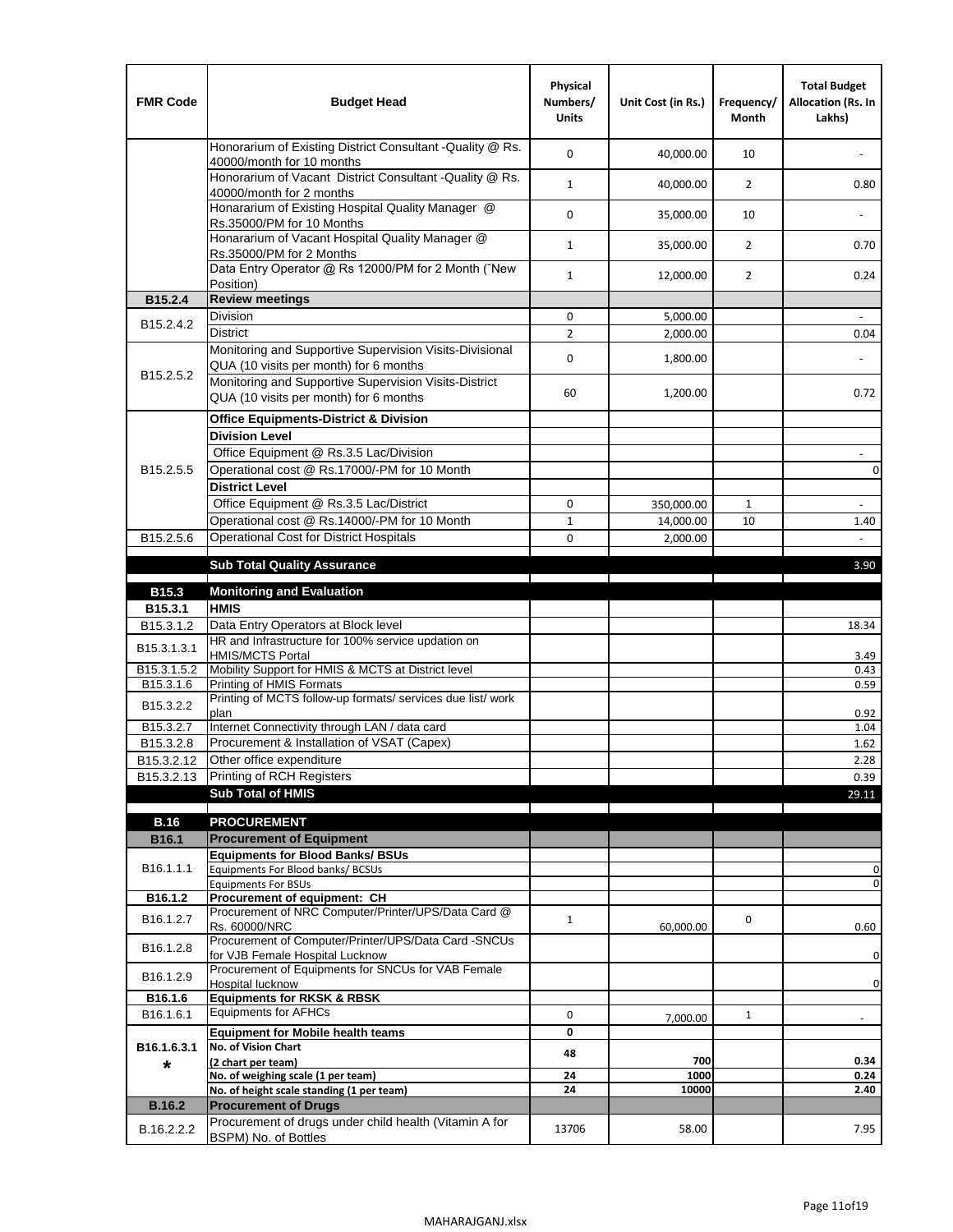| <b>FMR Code</b>         | <b>Budget Head</b>                                                                                | Physical<br>Numbers/<br><b>Units</b> | Unit Cost (in Rs.) | Frequency/<br><b>Month</b> | <b>Total Budget</b><br>Allocation (Rs. In<br>Lakhs) |
|-------------------------|---------------------------------------------------------------------------------------------------|--------------------------------------|--------------------|----------------------------|-----------------------------------------------------|
|                         | Honorarium of Existing District Consultant -Quality @ Rs.<br>40000/month for 10 months            | $\mathbf 0$                          | 40,000.00          | 10                         |                                                     |
|                         | Honorarium of Vacant District Consultant -Quality @ Rs.<br>40000/month for 2 months               | $\mathbf{1}$                         | 40,000.00          | $\overline{2}$             | 0.80                                                |
|                         | Honararium of Existing Hospital Quality Manager @<br>Rs.35000/PM for 10 Months                    | 0                                    | 35,000.00          | 10                         |                                                     |
|                         | Honararium of Vacant Hospital Quality Manager @<br>Rs.35000/PM for 2 Months                       | $\mathbf{1}$                         | 35,000.00          | $\overline{2}$             | 0.70                                                |
|                         | Data Entry Operator @ Rs 12000/PM for 2 Month ("New<br>Position)                                  | $\mathbf{1}$                         | 12,000.00          | $\overline{2}$             | 0.24                                                |
| B15.2.4                 | <b>Review meetings</b>                                                                            |                                      |                    |                            |                                                     |
| B <sub>15.2</sub> .4.2  | Division                                                                                          | 0                                    | 5,000.00           |                            |                                                     |
|                         | <b>District</b>                                                                                   | $\overline{2}$                       | 2,000.00           |                            | 0.04                                                |
| B15.2.5.2               | Monitoring and Supportive Supervision Visits-Divisional<br>QUA (10 visits per month) for 6 months | $\mathbf 0$                          | 1,800.00           |                            |                                                     |
|                         | Monitoring and Supportive Supervision Visits-District<br>QUA (10 visits per month) for 6 months   | 60                                   | 1,200.00           |                            | 0.72                                                |
|                         | <b>Office Equipments-District &amp; Division</b>                                                  |                                      |                    |                            |                                                     |
|                         | <b>Division Level</b>                                                                             |                                      |                    |                            |                                                     |
|                         | Office Equipment @ Rs.3.5 Lac/Division                                                            |                                      |                    |                            | $\sim$                                              |
| B15.2.5.5               | Operational cost @ Rs.17000/-PM for 10 Month                                                      |                                      |                    |                            | $\pmb{0}$                                           |
|                         | <b>District Level</b>                                                                             |                                      |                    |                            |                                                     |
|                         | Office Equipment @ Rs.3.5 Lac/District                                                            | 0                                    | 350,000.00         | $\mathbf{1}$               | $\blacksquare$                                      |
|                         | Operational cost @ Rs.14000/-PM for 10 Month                                                      | $1\,$                                | 14,000.00          | 10                         | 1.40                                                |
| B15.2.5.6               | <b>Operational Cost for District Hospitals</b>                                                    | 0                                    | 2,000.00           |                            | $\mathbf{r}$                                        |
|                         | <b>Sub Total Quality Assurance</b>                                                                |                                      |                    |                            | 3.90                                                |
| B15.3                   | <b>Monitoring and Evaluation</b>                                                                  |                                      |                    |                            |                                                     |
| B15.3.1                 | <b>HMIS</b>                                                                                       |                                      |                    |                            |                                                     |
| B15.3.1.2               | Data Entry Operators at Block level                                                               |                                      |                    |                            | 18.34                                               |
| B15.3.1.3.1             | HR and Infrastructure for 100% service updation on<br><b>HMIS/MCTS Portal</b>                     |                                      |                    |                            | 3.49                                                |
| B <sub>15.3.1.5.2</sub> | Mobility Support for HMIS & MCTS at District level                                                |                                      |                    |                            | 0.43                                                |
| B15.3.1.6               | Printing of HMIS Formats<br>Printing of MCTS follow-up formats/ services due list/ work           |                                      |                    |                            | 0.59                                                |
| B15.3.2.2               | plan                                                                                              |                                      |                    |                            | 0.92                                                |
| B15.3.2.7               | Internet Connectivity through LAN / data card                                                     |                                      |                    |                            | 1.04                                                |
| B15.3.2.8               | Procurement & Installation of VSAT (Capex)                                                        |                                      |                    |                            | 1.62                                                |
| B15.3.2.12              | Other office expenditure                                                                          |                                      |                    |                            | 2.28                                                |
| B15.3.2.13              | Printing of RCH Registers                                                                         |                                      |                    |                            | 0.39                                                |
|                         | <b>Sub Total of HMIS</b>                                                                          |                                      |                    |                            | 29.11                                               |
| <b>B.16</b>             | <b>PROCUREMENT</b>                                                                                |                                      |                    |                            |                                                     |
| B16.1                   | <b>Procurement of Equipment</b>                                                                   |                                      |                    |                            |                                                     |
|                         | <b>Equipments for Blood Banks/ BSUs</b>                                                           |                                      |                    |                            |                                                     |
| B16.1.1.1               | Equipments For Blood banks/ BCSUs                                                                 |                                      |                    |                            | 0<br>0                                              |
| B16.1.2                 | <b>Equipments For BSUs</b><br>Procurement of equipment: CH                                        |                                      |                    |                            |                                                     |
| B16.1.2.7               | Procurement of NRC Computer/Printer/UPS/Data Card @                                               | $\mathbf{1}$                         |                    | 0                          |                                                     |
|                         | Rs. 60000/NRC                                                                                     |                                      | 60,000.00          |                            | 0.60                                                |
| B16.1.2.8               | Procurement of Computer/Printer/UPS/Data Card -SNCUs<br>for VJB Female Hospital Lucknow           |                                      |                    |                            | 0                                                   |
|                         | Procurement of Equipments for SNCUs for VAB Female                                                |                                      |                    |                            |                                                     |
| B16.1.2.9               | Hospital lucknow                                                                                  |                                      |                    |                            | $\mathbf 0$                                         |
| B16.1.6                 | <b>Equipments for RKSK &amp; RBSK</b><br><b>Equipments for AFHCs</b>                              |                                      |                    |                            |                                                     |
| B16.1.6.1               |                                                                                                   | 0                                    | 7,000.00           | $\mathbf{1}$               | ÷,                                                  |
| B16.1.6.3.1             | <b>Equipment for Mobile health teams</b><br>No. of Vision Chart                                   | 0                                    |                    |                            |                                                     |
| *                       | (2 chart per team)                                                                                | 48                                   | 700                |                            | 0.34                                                |
|                         | No. of weighing scale (1 per team)                                                                | 24                                   | 1000               |                            | 0.24                                                |
|                         | No. of height scale standing (1 per team)                                                         | 24                                   | 10000              |                            | 2.40                                                |
| <b>B.16.2</b>           | <b>Procurement of Drugs</b>                                                                       |                                      |                    |                            |                                                     |
| B.16.2.2.2              | Procurement of drugs under child health (Vitamin A for<br>BSPM) No. of Bottles                    | 13706                                | 58.00              |                            | 7.95                                                |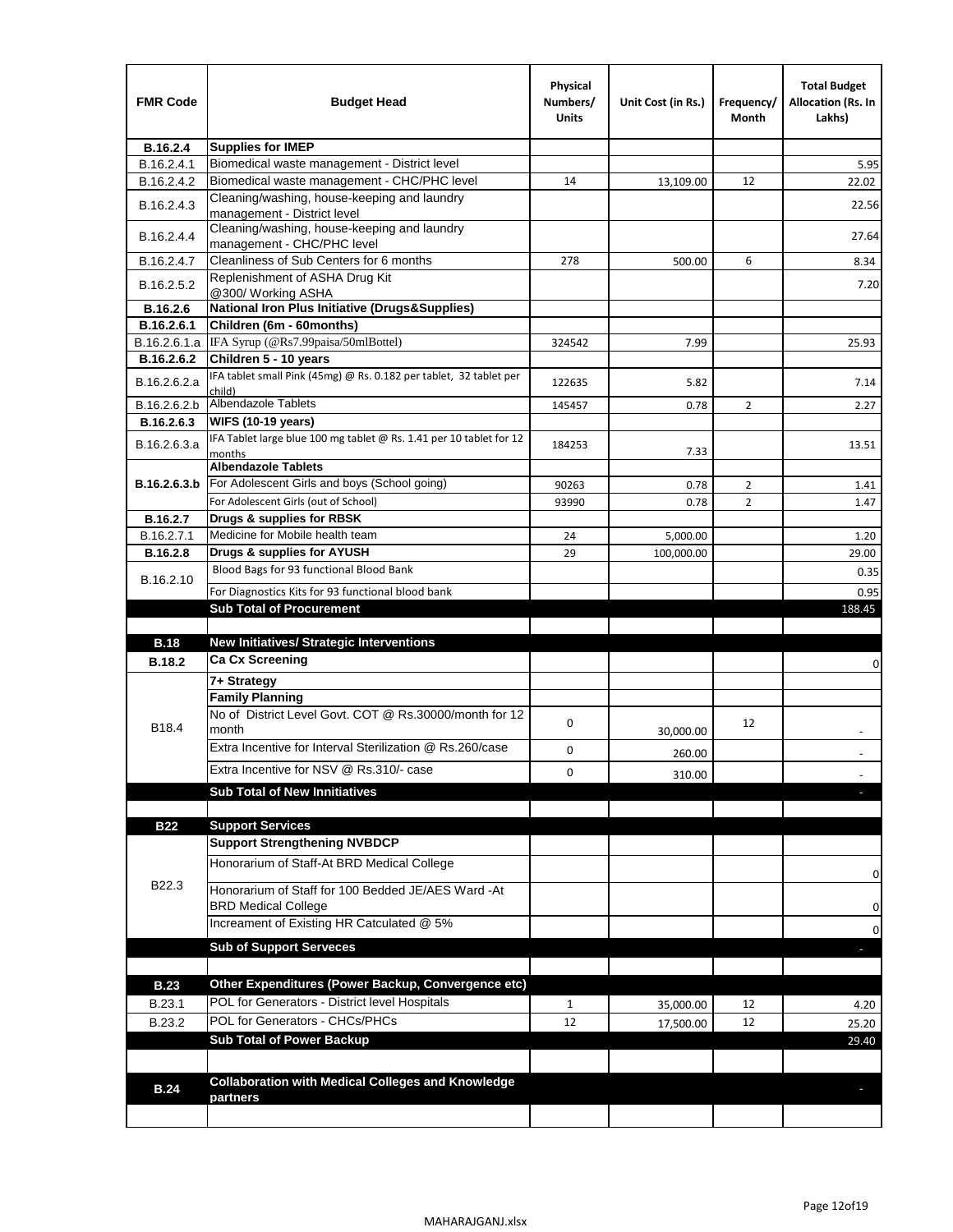| <b>FMR Code</b>   | <b>Budget Head</b>                                                               | Physical<br>Numbers/<br><b>Units</b> | Unit Cost (in Rs.) | Frequency/<br>Month | <b>Total Budget</b><br>Allocation (Rs. In<br>Lakhs) |
|-------------------|----------------------------------------------------------------------------------|--------------------------------------|--------------------|---------------------|-----------------------------------------------------|
| B.16.2.4          | <b>Supplies for IMEP</b>                                                         |                                      |                    |                     |                                                     |
| B.16.2.4.1        | Biomedical waste management - District level                                     |                                      |                    |                     | 5.95                                                |
| B.16.2.4.2        | Biomedical waste management - CHC/PHC level                                      | 14                                   | 13,109.00          | 12                  | 22.02                                               |
| B.16.2.4.3        | Cleaning/washing, house-keeping and laundry<br>management - District level       |                                      |                    |                     | 22.56                                               |
| B.16.2.4.4        | Cleaning/washing, house-keeping and laundry<br>management - CHC/PHC level        |                                      |                    |                     | 27.64                                               |
| B.16.2.4.7        | Cleanliness of Sub Centers for 6 months                                          | 278                                  | 500.00             | 6                   | 8.34                                                |
| B.16.2.5.2        | Replenishment of ASHA Drug Kit<br>@300/ Working ASHA                             |                                      |                    |                     | 7.20                                                |
| B.16.2.6          | <b>National Iron Plus Initiative (Drugs&amp;Supplies)</b>                        |                                      |                    |                     |                                                     |
| B.16.2.6.1        | Children (6m - 60months)                                                         |                                      |                    |                     |                                                     |
| B.16.2.6.1.a      | IFA Syrup (@Rs7.99paisa/50mlBottel)                                              | 324542                               | 7.99               |                     | 25.93                                               |
| B.16.2.6.2        | Children 5 - 10 years                                                            |                                      |                    |                     |                                                     |
| B.16.2.6.2.a      | IFA tablet small Pink (45mg) @ Rs. 0.182 per tablet, 32 tablet per<br>child)     | 122635                               | 5.82               |                     | 7.14                                                |
| B.16.2.6.2.b      | Albendazole Tablets                                                              | 145457                               | 0.78               | $\overline{2}$      | 2.27                                                |
| B.16.2.6.3        | <b>WIFS (10-19 years)</b>                                                        |                                      |                    |                     |                                                     |
| B.16.2.6.3.a      | IFA Tablet large blue 100 mg tablet @ Rs. 1.41 per 10 tablet for 12<br>months    | 184253                               | 7.33               |                     | 13.51                                               |
|                   | <b>Albendazole Tablets</b>                                                       |                                      |                    |                     |                                                     |
| B.16.2.6.3.b      | For Adolescent Girls and boys (School going)                                     | 90263                                | 0.78               | 2                   | 1.41                                                |
|                   | For Adolescent Girls (out of School)                                             | 93990                                | 0.78               | $\overline{2}$      | 1.47                                                |
| B.16.2.7          | Drugs & supplies for RBSK                                                        |                                      |                    |                     |                                                     |
| B.16.2.7.1        | Medicine for Mobile health team                                                  | 24                                   | 5,000.00           |                     | 1.20                                                |
| B.16.2.8          | Drugs & supplies for AYUSH                                                       | 29                                   | 100,000.00         |                     | 29.00                                               |
| B.16.2.10         | Blood Bags for 93 functional Blood Bank                                          |                                      |                    |                     | 0.35                                                |
|                   | For Diagnostics Kits for 93 functional blood bank                                |                                      |                    |                     | 0.95                                                |
|                   | <b>Sub Total of Procurement</b>                                                  |                                      |                    |                     | 188.45                                              |
|                   |                                                                                  |                                      |                    |                     |                                                     |
| <b>B.18</b>       | <b>New Initiatives/ Strategic Interventions</b>                                  |                                      |                    |                     |                                                     |
| <b>B.18.2</b>     | <b>Ca Cx Screening</b>                                                           |                                      |                    |                     | 0                                                   |
|                   | 7+ Strategy                                                                      |                                      |                    |                     |                                                     |
| B <sub>18.4</sub> | <b>Family Planning</b><br>No of District Level Govt. COT @ Rs.30000/month for 12 | 0                                    |                    | 12                  |                                                     |
|                   | month<br>Extra Incentive for Interval Sterilization @ Rs.260/case                |                                      | 30,000.00          |                     |                                                     |
|                   |                                                                                  | 0                                    | 260.00             |                     |                                                     |
|                   | Extra Incentive for NSV @ Rs.310/- case                                          | 0                                    | 310.00             |                     |                                                     |
|                   | <b>Sub Total of New Innitiatives</b>                                             |                                      |                    |                     |                                                     |
|                   | <b>Support Services</b>                                                          |                                      |                    |                     |                                                     |
| <b>B22</b>        | <b>Support Strengthening NVBDCP</b>                                              |                                      |                    |                     |                                                     |
|                   | Honorarium of Staff-At BRD Medical College                                       |                                      |                    |                     |                                                     |
| B22.3             | Honorarium of Staff for 100 Bedded JE/AES Ward -At                               |                                      |                    |                     | 0                                                   |
|                   | <b>BRD Medical College</b>                                                       |                                      |                    |                     | 0                                                   |
|                   | Increament of Existing HR Catculated @ 5%                                        |                                      |                    |                     | 0                                                   |
|                   | <b>Sub of Support Serveces</b>                                                   |                                      |                    |                     |                                                     |
|                   |                                                                                  |                                      |                    |                     |                                                     |
| <b>B.23</b>       | Other Expenditures (Power Backup, Convergence etc)                               |                                      |                    |                     |                                                     |
| B.23.1            | POL for Generators - District level Hospitals                                    | $\mathbf{1}$                         | 35,000.00          | 12                  | 4.20                                                |
| B.23.2            | POL for Generators - CHCs/PHCs                                                   | 12                                   | 17,500.00          | 12                  | 25.20                                               |
|                   | <b>Sub Total of Power Backup</b>                                                 |                                      |                    |                     | 29.40                                               |
|                   |                                                                                  |                                      |                    |                     |                                                     |
|                   | <b>Collaboration with Medical Colleges and Knowledge</b>                         |                                      |                    |                     |                                                     |
| <b>B.24</b>       | partners                                                                         |                                      |                    |                     |                                                     |
|                   |                                                                                  |                                      |                    |                     |                                                     |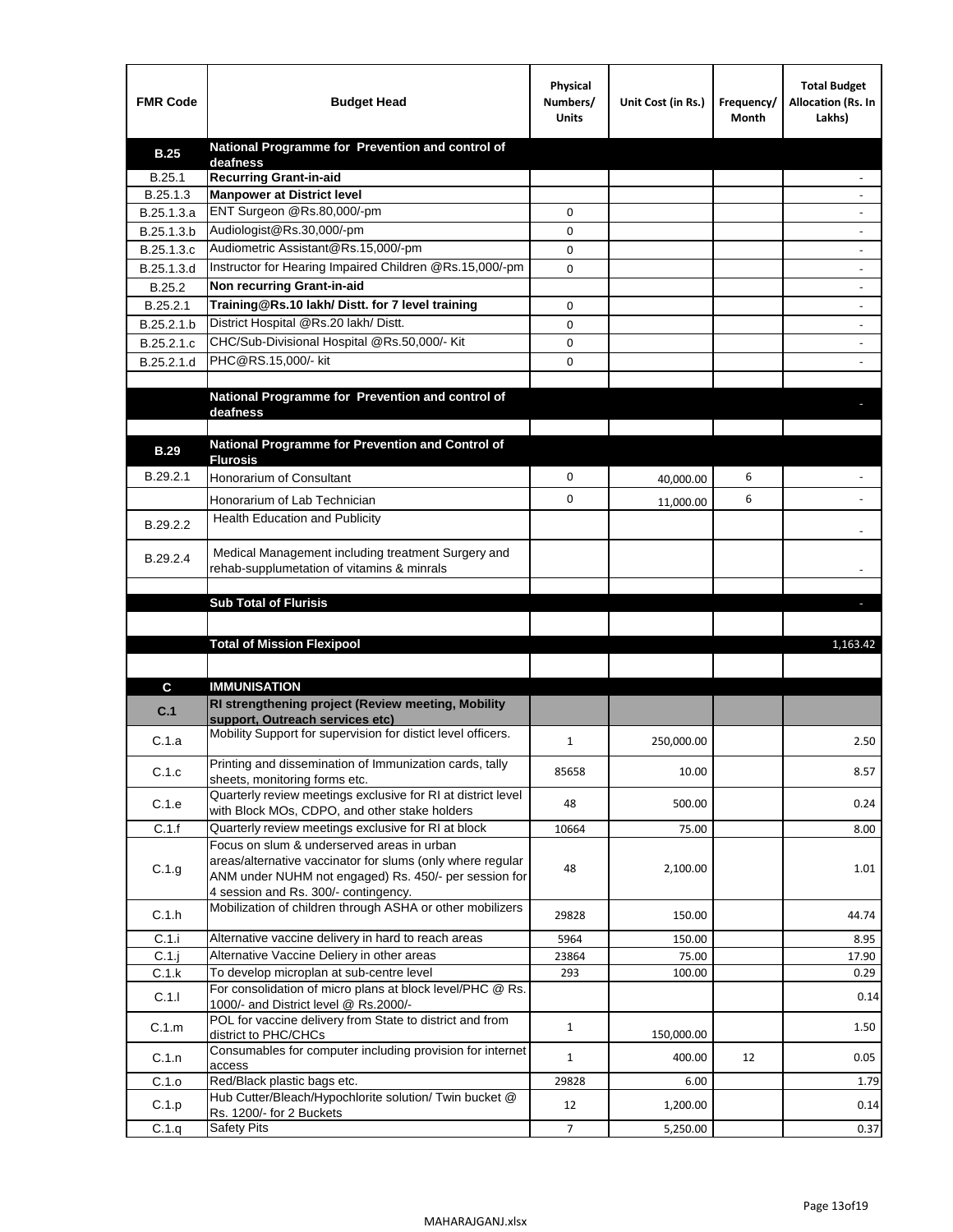| <b>FMR Code</b> | <b>Budget Head</b>                                                                                   | Physical<br>Numbers/<br><b>Units</b> | Unit Cost (in Rs.) | Frequency/<br>Month | <b>Total Budget</b><br>Allocation (Rs. In<br>Lakhs) |
|-----------------|------------------------------------------------------------------------------------------------------|--------------------------------------|--------------------|---------------------|-----------------------------------------------------|
| <b>B.25</b>     | National Programme for Prevention and control of                                                     |                                      |                    |                     |                                                     |
| B.25.1          | deafness<br><b>Recurring Grant-in-aid</b>                                                            |                                      |                    |                     |                                                     |
| B.25.1.3        | <b>Manpower at District level</b>                                                                    |                                      |                    |                     |                                                     |
| B.25.1.3.a      | ENT Surgeon @Rs.80,000/-pm                                                                           | 0                                    |                    |                     |                                                     |
| B.25.1.3.b      | Audiologist@Rs.30,000/-pm                                                                            | 0                                    |                    |                     |                                                     |
| B.25.1.3.c      | Audiometric Assistant@Rs.15,000/-pm                                                                  | 0                                    |                    |                     |                                                     |
| B.25.1.3.d      | Instructor for Hearing Impaired Children @Rs.15,000/-pm                                              | 0                                    |                    |                     |                                                     |
| B.25.2          | Non recurring Grant-in-aid                                                                           |                                      |                    |                     |                                                     |
| B.25.2.1        | Training@Rs.10 lakh/ Distt. for 7 level training                                                     | 0                                    |                    |                     |                                                     |
| B.25.2.1.b      | District Hospital @Rs.20 lakh/Distt.                                                                 | 0                                    |                    |                     |                                                     |
| B.25.2.1.c      | CHC/Sub-Divisional Hospital @Rs.50,000/- Kit                                                         | 0                                    |                    |                     |                                                     |
| B.25.2.1.d      | PHC@RS.15,000/- kit                                                                                  | 0                                    |                    |                     |                                                     |
|                 |                                                                                                      |                                      |                    |                     |                                                     |
|                 | National Programme for Prevention and control of                                                     |                                      |                    |                     |                                                     |
|                 | deafness                                                                                             |                                      |                    |                     |                                                     |
|                 | National Programme for Prevention and Control of                                                     |                                      |                    |                     |                                                     |
| <b>B.29</b>     | <b>Flurosis</b>                                                                                      |                                      |                    |                     |                                                     |
| B.29.2.1        | <b>Honorarium of Consultant</b>                                                                      | 0                                    | 40,000.00          | 6                   |                                                     |
|                 | Honorarium of Lab Technician                                                                         | 0                                    | 11,000.00          | 6                   |                                                     |
| B.29.2.2        | Health Education and Publicity                                                                       |                                      |                    |                     |                                                     |
|                 |                                                                                                      |                                      |                    |                     |                                                     |
| B.29.2.4        | Medical Management including treatment Surgery and                                                   |                                      |                    |                     |                                                     |
|                 | rehab-supplumetation of vitamins & minrals                                                           |                                      |                    |                     |                                                     |
|                 | <b>Sub Total of Flurisis</b>                                                                         |                                      |                    |                     |                                                     |
|                 |                                                                                                      |                                      |                    |                     |                                                     |
|                 |                                                                                                      |                                      |                    |                     | ы                                                   |
|                 |                                                                                                      |                                      |                    |                     |                                                     |
|                 | <b>Total of Mission Flexipool</b>                                                                    |                                      |                    |                     | 1,163.42                                            |
|                 |                                                                                                      |                                      |                    |                     |                                                     |
| C               | <b>IMMUNISATION</b>                                                                                  |                                      |                    |                     |                                                     |
| C.1             | RI strengthening project (Review meeting, Mobility                                                   |                                      |                    |                     |                                                     |
|                 | support, Outreach services etc)                                                                      |                                      |                    |                     |                                                     |
| C.1.a           | Mobility Support for supervision for distict level officers.                                         | 1                                    | 250,000.00         |                     | 2.50                                                |
|                 | Printing and dissemination of Immunization cards, tally                                              | 85658                                | 10.00              |                     | 8.57                                                |
| C.1.c           | sheets, monitoring forms etc.                                                                        |                                      |                    |                     |                                                     |
| C.1.e           | Quarterly review meetings exclusive for RI at district level                                         | 48                                   | 500.00             |                     | 0.24                                                |
| C.1.f           | with Block MOs, CDPO, and other stake holders<br>Quarterly review meetings exclusive for RI at block | 10664                                | 75.00              |                     | 8.00                                                |
|                 | Focus on slum & underserved areas in urban                                                           |                                      |                    |                     |                                                     |
|                 | areas/alternative vaccinator for slums (only where regular                                           | 48                                   | 2,100.00           |                     | 1.01                                                |
| C.1.g           | ANM under NUHM not engaged) Rs. 450/- per session for                                                |                                      |                    |                     |                                                     |
|                 | 4 session and Rs. 300/- contingency.                                                                 |                                      |                    |                     |                                                     |
| C.1.h           | Mobilization of children through ASHA or other mobilizers                                            | 29828                                | 150.00             |                     | 44.74                                               |
| C.1.i           | Alternative vaccine delivery in hard to reach areas                                                  | 5964                                 | 150.00             |                     | 8.95                                                |
| $C.1$ .         | Alternative Vaccine Deliery in other areas                                                           | 23864                                | 75.00              |                     | 17.90                                               |
| C.1.k           | To develop microplan at sub-centre level                                                             | 293                                  | 100.00             |                     | 0.29                                                |
| C.1.1           | For consolidation of micro plans at block level/PHC @ Rs.<br>1000/- and District level @ Rs.2000/-   |                                      |                    |                     | 0.14                                                |
| C.1.m           | POL for vaccine delivery from State to district and from<br>district to PHC/CHCs                     | $\mathbf{1}$                         | 150,000.00         |                     | 1.50                                                |
| C.1.n           | Consumables for computer including provision for internet                                            | $\mathbf{1}$                         | 400.00             | 12                  | 0.05                                                |
| C.1.o           | access<br>Red/Black plastic bags etc.                                                                | 29828                                | 6.00               |                     | 1.79                                                |
| C.1.p           | Hub Cutter/Bleach/Hypochlorite solution/ Twin bucket @<br>Rs. 1200/- for 2 Buckets                   | 12                                   | 1,200.00           |                     | 0.14                                                |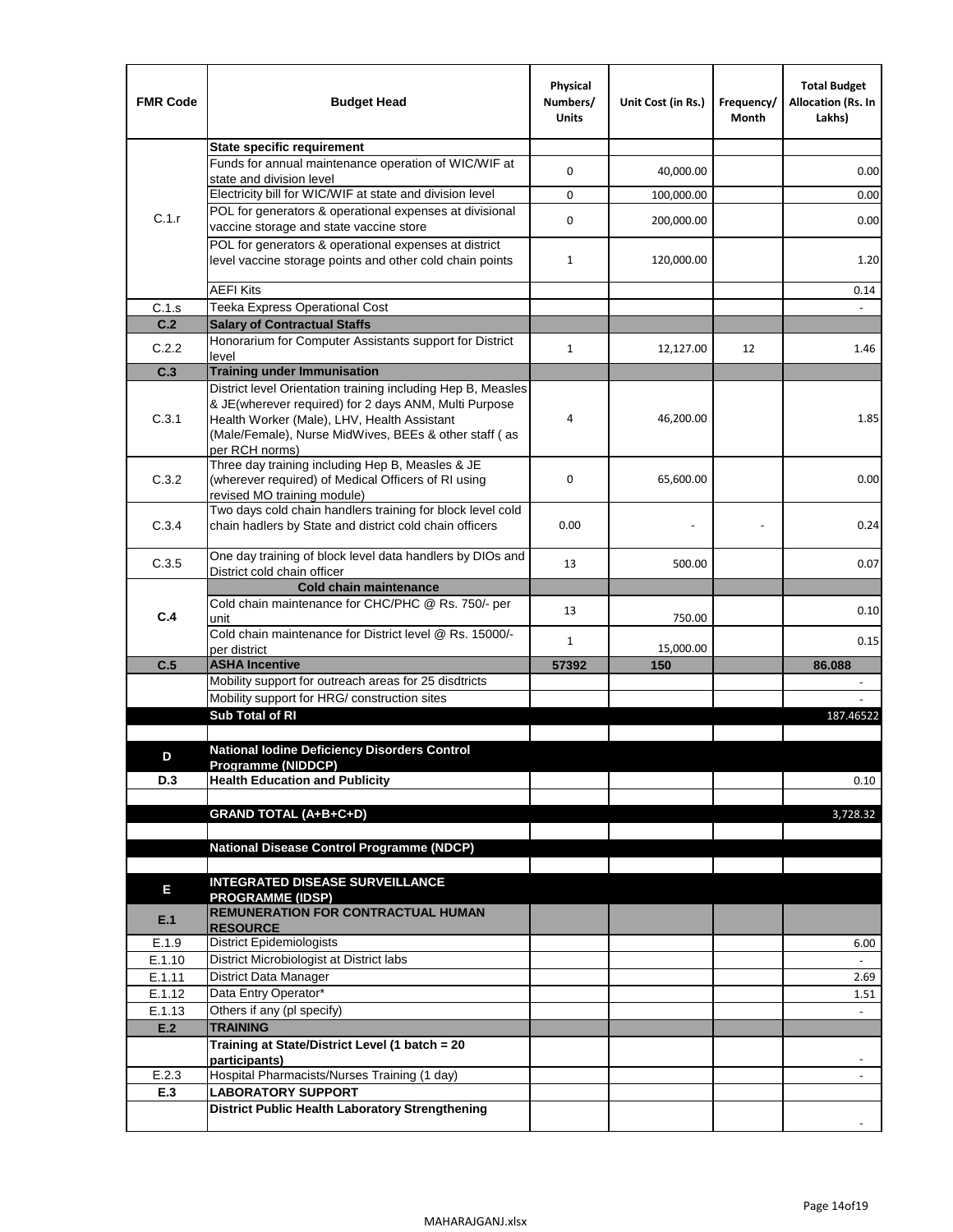| <b>FMR Code</b>  | <b>Budget Head</b>                                                                                                    | Physical<br>Numbers/<br><b>Units</b> | Unit Cost (in Rs.) | Frequency/<br>Month | <b>Total Budget</b><br>Allocation (Rs. In<br>Lakhs) |
|------------------|-----------------------------------------------------------------------------------------------------------------------|--------------------------------------|--------------------|---------------------|-----------------------------------------------------|
|                  | <b>State specific requirement</b>                                                                                     |                                      |                    |                     |                                                     |
|                  | Funds for annual maintenance operation of WIC/WIF at                                                                  | 0                                    | 40,000.00          |                     | 0.00                                                |
|                  | state and division level                                                                                              |                                      |                    |                     |                                                     |
|                  | Electricity bill for WIC/WIF at state and division level<br>POL for generators & operational expenses at divisional   | 0                                    | 100,000.00         |                     | 0.00                                                |
| C.1.r            | vaccine storage and state vaccine store                                                                               | 0                                    | 200,000.00         |                     | 0.00                                                |
|                  | POL for generators & operational expenses at district                                                                 |                                      |                    |                     |                                                     |
|                  | level vaccine storage points and other cold chain points                                                              | 1                                    | 120,000.00         |                     | 1.20                                                |
|                  |                                                                                                                       |                                      |                    |                     |                                                     |
|                  | <b>AEFI Kits</b>                                                                                                      |                                      |                    |                     | 0.14                                                |
| C.1.s            | Teeka Express Operational Cost                                                                                        |                                      |                    |                     |                                                     |
| C.2              | <b>Salary of Contractual Staffs</b><br>Honorarium for Computer Assistants support for District                        |                                      |                    |                     |                                                     |
| C.2.2            | level                                                                                                                 | $\mathbf{1}$                         | 12,127.00          | 12                  | 1.46                                                |
| C.3              | <b>Training under Immunisation</b>                                                                                    |                                      |                    |                     |                                                     |
|                  | District level Orientation training including Hep B, Measles                                                          |                                      |                    |                     |                                                     |
|                  | & JE(wherever required) for 2 days ANM, Multi Purpose                                                                 |                                      |                    |                     |                                                     |
| C.3.1            | Health Worker (Male), LHV, Health Assistant                                                                           | 4                                    | 46,200.00          |                     | 1.85                                                |
|                  | (Male/Female), Nurse MidWives, BEEs & other staff (as<br>per RCH norms)                                               |                                      |                    |                     |                                                     |
|                  | Three day training including Hep B, Measles & JE                                                                      |                                      |                    |                     |                                                     |
| C.3.2            | (wherever required) of Medical Officers of RI using                                                                   | 0                                    | 65,600.00          |                     | 0.00                                                |
|                  | revised MO training module)                                                                                           |                                      |                    |                     |                                                     |
| C.3.4            | Two days cold chain handlers training for block level cold<br>chain hadlers by State and district cold chain officers | 0.00                                 |                    |                     | 0.24                                                |
|                  |                                                                                                                       |                                      |                    |                     |                                                     |
| C.3.5            | One day training of block level data handlers by DIOs and                                                             | 13                                   | 500.00             |                     | 0.07                                                |
|                  | District cold chain officer                                                                                           |                                      |                    |                     |                                                     |
|                  | <b>Cold chain maintenance</b>                                                                                         |                                      |                    |                     |                                                     |
| C.4              | Cold chain maintenance for CHC/PHC @ Rs. 750/- per<br>unit                                                            | 13                                   | 750.00             |                     | 0.10                                                |
|                  | Cold chain maintenance for District level @ Rs. 15000/-                                                               | $\mathbf{1}$                         |                    |                     | 0.15                                                |
|                  | per district                                                                                                          |                                      | 15,000.00          |                     |                                                     |
| C.5              | <b>ASHA Incentive</b>                                                                                                 | 57392                                | 150                |                     | 86.088                                              |
|                  | Mobility support for outreach areas for 25 disdtricts                                                                 |                                      |                    |                     |                                                     |
|                  | Mobility support for HRG/ construction sites<br>Sub Total of RI                                                       |                                      |                    |                     |                                                     |
|                  |                                                                                                                       |                                      |                    |                     | 187.46522                                           |
|                  | National Iodine Deficiency Disorders Control                                                                          |                                      |                    |                     |                                                     |
| D                | Programme (NIDDCP)                                                                                                    |                                      |                    |                     |                                                     |
| D.3              | <b>Health Education and Publicity</b>                                                                                 |                                      |                    |                     | 0.10                                                |
|                  |                                                                                                                       |                                      |                    |                     |                                                     |
|                  | <b>GRAND TOTAL (A+B+C+D)</b>                                                                                          |                                      |                    |                     | 3,728.32                                            |
|                  | <b>National Disease Control Programme (NDCP)</b>                                                                      |                                      |                    |                     |                                                     |
|                  |                                                                                                                       |                                      |                    |                     |                                                     |
|                  | <b>INTEGRATED DISEASE SURVEILLANCE</b>                                                                                |                                      |                    |                     |                                                     |
| E                | <b>PROGRAMME (IDSP)</b>                                                                                               |                                      |                    |                     |                                                     |
| E.1              | <b>REMUNERATION FOR CONTRACTUAL HUMAN</b>                                                                             |                                      |                    |                     |                                                     |
|                  | <b>RESOURCE</b><br><b>District Epidemiologists</b>                                                                    |                                      |                    |                     |                                                     |
| E.1.9            | District Microbiologist at District labs                                                                              |                                      |                    |                     | 6.00                                                |
| E.1.10<br>E.1.11 | District Data Manager                                                                                                 |                                      |                    |                     | 2.69                                                |
| E.1.12           | Data Entry Operator*                                                                                                  |                                      |                    |                     | 1.51                                                |
| E.1.13           | Others if any (pl specify)                                                                                            |                                      |                    |                     |                                                     |
| E.2              | <b>TRAINING</b>                                                                                                       |                                      |                    |                     |                                                     |
|                  | Training at State/District Level (1 batch = 20                                                                        |                                      |                    |                     |                                                     |
|                  | participants)                                                                                                         |                                      |                    |                     | $\overline{\phantom{a}}$                            |
| E.2.3            | Hospital Pharmacists/Nurses Training (1 day)                                                                          |                                      |                    |                     |                                                     |
| E.3              | <b>LABORATORY SUPPORT</b><br><b>District Public Health Laboratory Strengthening</b>                                   |                                      |                    |                     |                                                     |
|                  |                                                                                                                       |                                      |                    |                     |                                                     |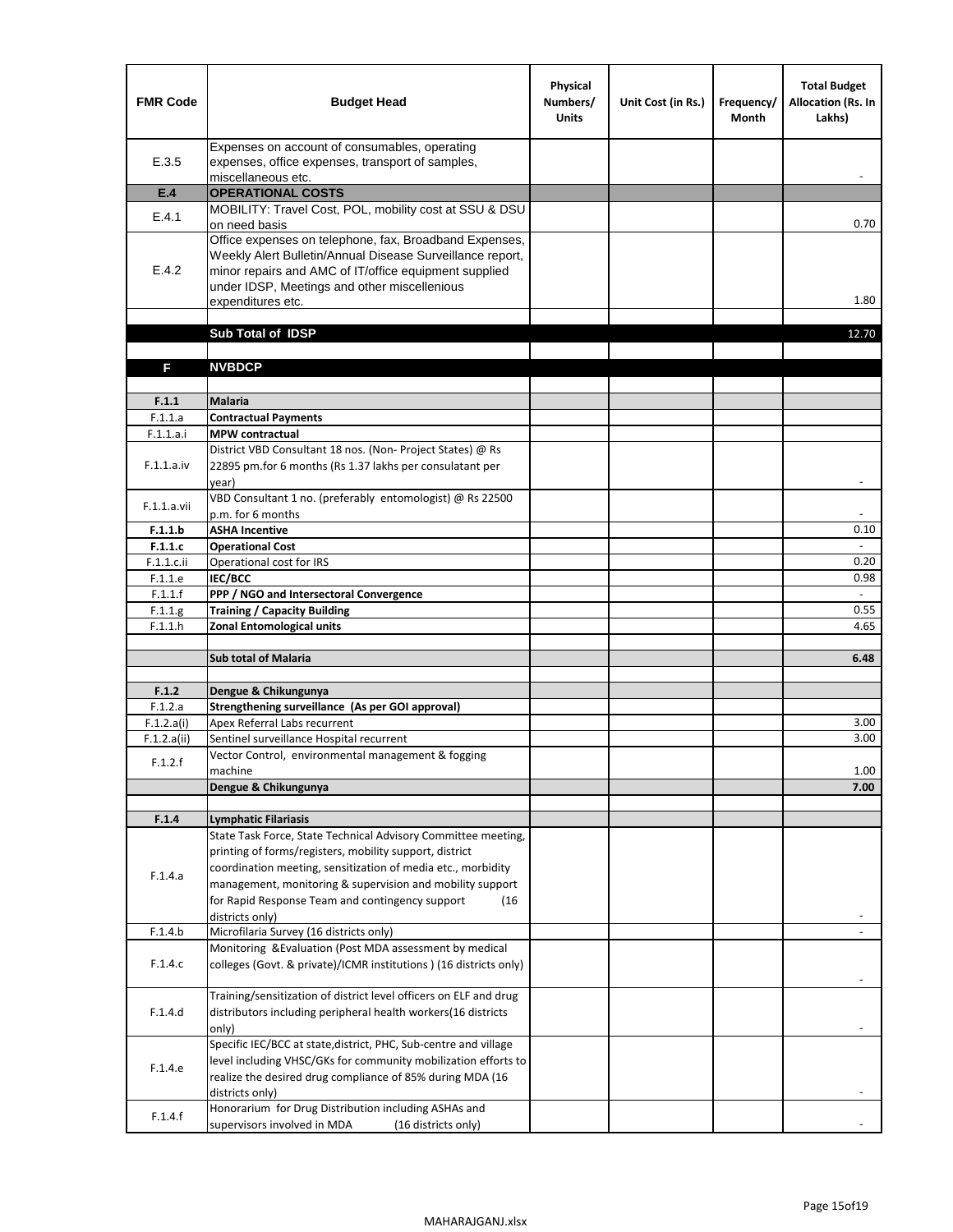| <b>FMR Code</b>       | <b>Budget Head</b>                                                                                                                                                                                                                                | Physical<br>Numbers/<br><b>Units</b> | Unit Cost (in Rs.) | Frequency/<br><b>Month</b> | <b>Total Budget</b><br>Allocation (Rs. In<br>Lakhs) |
|-----------------------|---------------------------------------------------------------------------------------------------------------------------------------------------------------------------------------------------------------------------------------------------|--------------------------------------|--------------------|----------------------------|-----------------------------------------------------|
| E.3.5                 | Expenses on account of consumables, operating<br>expenses, office expenses, transport of samples,<br>miscellaneous etc.                                                                                                                           |                                      |                    |                            |                                                     |
| E.4                   | <b>OPERATIONAL COSTS</b>                                                                                                                                                                                                                          |                                      |                    |                            |                                                     |
| E.4.1                 | MOBILITY: Travel Cost, POL, mobility cost at SSU & DSU                                                                                                                                                                                            |                                      |                    |                            |                                                     |
|                       | on need basis                                                                                                                                                                                                                                     |                                      |                    |                            | 0.70                                                |
| E.4.2                 | Office expenses on telephone, fax, Broadband Expenses,<br>Weekly Alert Bulletin/Annual Disease Surveillance report,<br>minor repairs and AMC of IT/office equipment supplied<br>under IDSP, Meetings and other miscellenious<br>expenditures etc. |                                      |                    |                            | 1.80                                                |
|                       | Sub Total of IDSP                                                                                                                                                                                                                                 |                                      |                    |                            | 12.70                                               |
|                       |                                                                                                                                                                                                                                                   |                                      |                    |                            |                                                     |
| F                     | <b>NVBDCP</b>                                                                                                                                                                                                                                     |                                      |                    |                            |                                                     |
|                       |                                                                                                                                                                                                                                                   |                                      |                    |                            |                                                     |
| F.1.1                 | <b>Malaria</b>                                                                                                                                                                                                                                    |                                      |                    |                            |                                                     |
| F.1.1.a               | <b>Contractual Payments</b>                                                                                                                                                                                                                       |                                      |                    |                            |                                                     |
| F.1.1.a.i             | <b>MPW</b> contractual<br>District VBD Consultant 18 nos. (Non-Project States) @ Rs                                                                                                                                                               |                                      |                    |                            |                                                     |
| F.1.1.a.iv            | 22895 pm.for 6 months (Rs 1.37 lakhs per consulatant per<br>year)                                                                                                                                                                                 |                                      |                    |                            | $\overline{\phantom{a}}$                            |
|                       | VBD Consultant 1 no. (preferably entomologist) @ Rs 22500                                                                                                                                                                                         |                                      |                    |                            |                                                     |
| F.1.1.a.vii           | p.m. for 6 months                                                                                                                                                                                                                                 |                                      |                    |                            |                                                     |
| F.1.1.b               | <b>ASHA Incentive</b>                                                                                                                                                                                                                             |                                      |                    |                            | 0.10                                                |
| F.1.1.c               | <b>Operational Cost</b>                                                                                                                                                                                                                           |                                      |                    |                            |                                                     |
| F.1.1.c.ii            | Operational cost for IRS                                                                                                                                                                                                                          |                                      |                    |                            | 0.20                                                |
| F.1.1.e<br>F.1.1.f    | <b>IEC/BCC</b><br>PPP / NGO and Intersectoral Convergence                                                                                                                                                                                         |                                      |                    |                            | 0.98<br>$\omega$                                    |
| F.1.1.g               | <b>Training / Capacity Building</b>                                                                                                                                                                                                               |                                      |                    |                            | 0.55                                                |
| F.1.1.h               | <b>Zonal Entomological units</b>                                                                                                                                                                                                                  |                                      |                    |                            | 4.65                                                |
|                       |                                                                                                                                                                                                                                                   |                                      |                    |                            |                                                     |
|                       | <b>Sub total of Malaria</b>                                                                                                                                                                                                                       |                                      |                    |                            | 6.48                                                |
|                       |                                                                                                                                                                                                                                                   |                                      |                    |                            |                                                     |
| F.1.2                 | Dengue & Chikungunya                                                                                                                                                                                                                              |                                      |                    |                            |                                                     |
| F.1.2.a<br>F.1.2.a(i) | Strengthening surveillance (As per GOI approval)<br>Apex Referral Labs recurrent                                                                                                                                                                  |                                      |                    |                            | 3.00                                                |
| F.1.2.a(ii)           | Sentinel surveillance Hospital recurrent                                                                                                                                                                                                          |                                      |                    |                            | 3.00                                                |
|                       | Vector Control, environmental management & fogging                                                                                                                                                                                                |                                      |                    |                            |                                                     |
| F.1.2.f               | machine                                                                                                                                                                                                                                           |                                      |                    |                            | 1.00                                                |
|                       | Dengue & Chikungunya                                                                                                                                                                                                                              |                                      |                    |                            | 7.00                                                |
|                       |                                                                                                                                                                                                                                                   |                                      |                    |                            |                                                     |
| F.1.4                 | <b>Lymphatic Filariasis</b><br>State Task Force, State Technical Advisory Committee meeting,                                                                                                                                                      |                                      |                    |                            |                                                     |
|                       | printing of forms/registers, mobility support, district                                                                                                                                                                                           |                                      |                    |                            |                                                     |
|                       | coordination meeting, sensitization of media etc., morbidity                                                                                                                                                                                      |                                      |                    |                            |                                                     |
| F.1.4.a               | management, monitoring & supervision and mobility support                                                                                                                                                                                         |                                      |                    |                            |                                                     |
|                       | for Rapid Response Team and contingency support<br>(16)                                                                                                                                                                                           |                                      |                    |                            |                                                     |
|                       | districts only)                                                                                                                                                                                                                                   |                                      |                    |                            |                                                     |
| F.1.4.b               | Microfilaria Survey (16 districts only)                                                                                                                                                                                                           |                                      |                    |                            |                                                     |
| F.1.4.c               | Monitoring & Evaluation (Post MDA assessment by medical<br>colleges (Govt. & private)/ICMR institutions ) (16 districts only)                                                                                                                     |                                      |                    |                            |                                                     |
|                       | Training/sensitization of district level officers on ELF and drug                                                                                                                                                                                 |                                      |                    |                            |                                                     |
| F.1.4.d               | distributors including peripheral health workers(16 districts                                                                                                                                                                                     |                                      |                    |                            |                                                     |
|                       | only)                                                                                                                                                                                                                                             |                                      |                    |                            |                                                     |
|                       | Specific IEC/BCC at state, district, PHC, Sub-centre and village                                                                                                                                                                                  |                                      |                    |                            |                                                     |
| F.1.4.e               | level including VHSC/GKs for community mobilization efforts to                                                                                                                                                                                    |                                      |                    |                            |                                                     |
|                       | realize the desired drug compliance of 85% during MDA (16                                                                                                                                                                                         |                                      |                    |                            |                                                     |
|                       | districts only)                                                                                                                                                                                                                                   |                                      |                    |                            |                                                     |
| F.1.4.f               | Honorarium for Drug Distribution including ASHAs and<br>supervisors involved in MDA<br>(16 districts only)                                                                                                                                        |                                      |                    |                            |                                                     |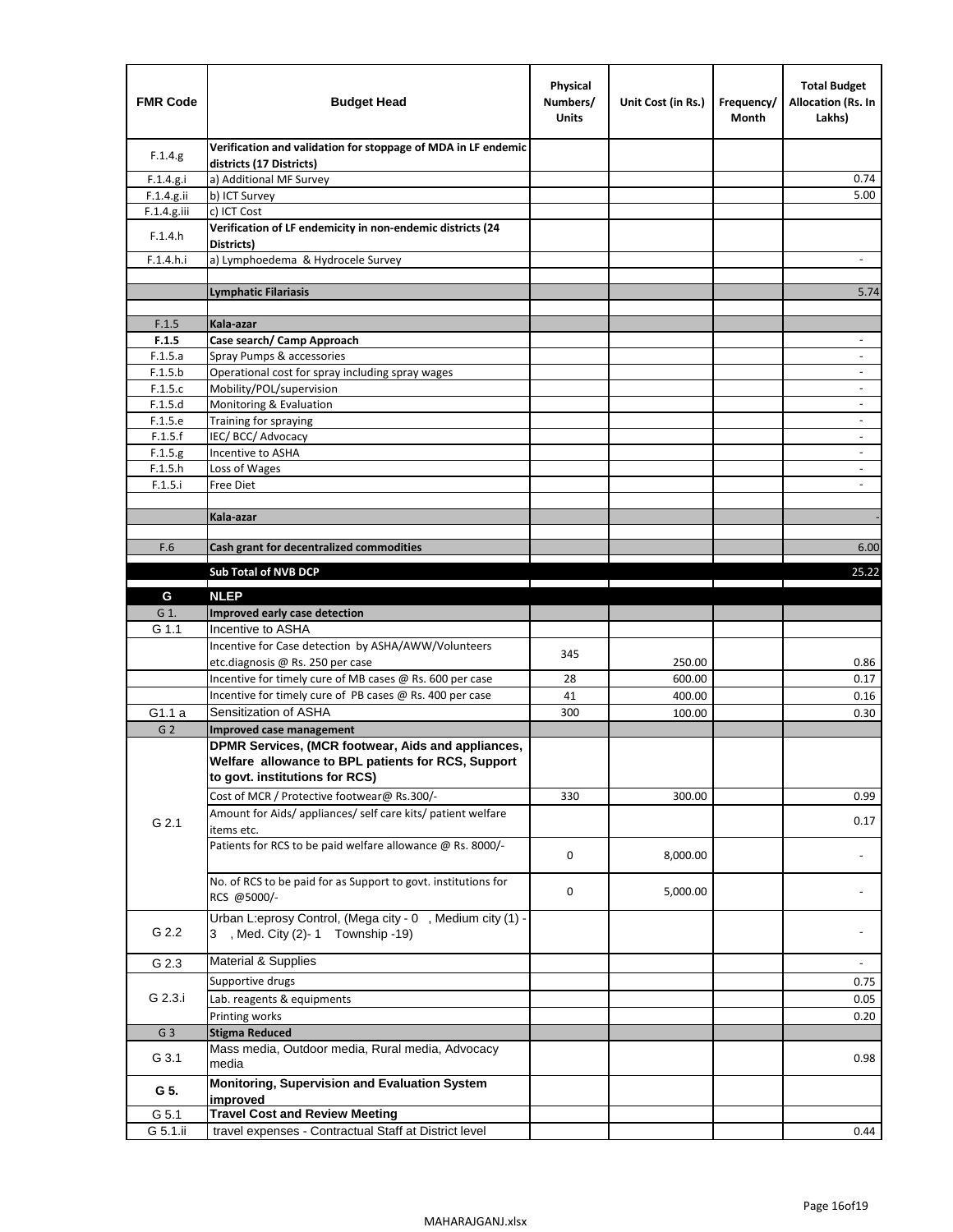| <b>FMR Code</b>    | <b>Budget Head</b>                                                                                                                         | Physical<br>Numbers/<br><b>Units</b> | Unit Cost (in Rs.) | Frequency/<br>Month | <b>Total Budget</b><br>Allocation (Rs. In<br>Lakhs) |
|--------------------|--------------------------------------------------------------------------------------------------------------------------------------------|--------------------------------------|--------------------|---------------------|-----------------------------------------------------|
| F.1.4.g.           | Verification and validation for stoppage of MDA in LF endemic<br>districts (17 Districts)                                                  |                                      |                    |                     |                                                     |
| F.1.4.g.i          | a) Additional MF Survey                                                                                                                    |                                      |                    |                     | 0.74                                                |
| F.1.4.g.ii         | b) ICT Survey                                                                                                                              |                                      |                    |                     | 5.00                                                |
| F.1.4.g.iii        | c) ICT Cost                                                                                                                                |                                      |                    |                     |                                                     |
| F.1.4.h            | Verification of LF endemicity in non-endemic districts (24<br>Districts)                                                                   |                                      |                    |                     |                                                     |
| F.1.4.h.i          | a) Lymphoedema & Hydrocele Survey                                                                                                          |                                      |                    |                     |                                                     |
|                    | <b>Lymphatic Filariasis</b>                                                                                                                |                                      |                    |                     | 5.74                                                |
|                    |                                                                                                                                            |                                      |                    |                     |                                                     |
| F.1.5              | Kala-azar                                                                                                                                  |                                      |                    |                     |                                                     |
| F.1.5              | Case search/ Camp Approach                                                                                                                 |                                      |                    |                     | $\overline{\phantom{a}}$                            |
| F.1.5.a            | Spray Pumps & accessories                                                                                                                  |                                      |                    |                     |                                                     |
| F.1.5.b            | Operational cost for spray including spray wages                                                                                           |                                      |                    |                     |                                                     |
| F.1.5.c            | Mobility/POL/supervision                                                                                                                   |                                      |                    |                     | $\blacksquare$                                      |
| F.1.5.d            | Monitoring & Evaluation                                                                                                                    |                                      |                    |                     |                                                     |
| F.1.5.e            | Training for spraying                                                                                                                      |                                      |                    |                     | $\overline{\phantom{a}}$                            |
| F.1.5.f            | IEC/BCC/Advocacy                                                                                                                           |                                      |                    |                     |                                                     |
| F.1.5.g            | Incentive to ASHA                                                                                                                          |                                      |                    |                     | $\overline{\phantom{a}}$                            |
| F.1.5.h<br>F.1.5.i | Loss of Wages<br>Free Diet                                                                                                                 |                                      |                    |                     | $\overline{\phantom{a}}$                            |
|                    |                                                                                                                                            |                                      |                    |                     |                                                     |
|                    | Kala-azar                                                                                                                                  |                                      |                    |                     |                                                     |
|                    |                                                                                                                                            |                                      |                    |                     |                                                     |
| F.6                | Cash grant for decentralized commodities                                                                                                   |                                      |                    |                     | 6.00                                                |
|                    | <b>Sub Total of NVB DCP</b>                                                                                                                |                                      |                    |                     | 25.22                                               |
|                    |                                                                                                                                            |                                      |                    |                     |                                                     |
| G                  | <b>NLEP</b>                                                                                                                                |                                      |                    |                     |                                                     |
| G 1.               | Improved early case detection                                                                                                              |                                      |                    |                     |                                                     |
| G 1.1              | Incentive to ASHA                                                                                                                          |                                      |                    |                     |                                                     |
|                    | Incentive for Case detection by ASHA/AWW/Volunteers                                                                                        | 345                                  |                    |                     |                                                     |
|                    | etc.diagnosis @ Rs. 250 per case                                                                                                           |                                      | 250.00             |                     | 0.86                                                |
|                    | Incentive for timely cure of MB cases @ Rs. 600 per case                                                                                   | 28                                   | 600.00             |                     | 0.17                                                |
|                    | Incentive for timely cure of PB cases @ Rs. 400 per case                                                                                   | 41                                   | 400.00             |                     | 0.16                                                |
| G1.1 a             | Sensitization of ASHA                                                                                                                      | 300                                  | 100.00             |                     | 0.30                                                |
| G <sub>2</sub>     | Improved case management                                                                                                                   |                                      |                    |                     |                                                     |
|                    | DPMR Services, (MCR footwear, Aids and appliances,<br>Welfare allowance to BPL patients for RCS, Support<br>to govt. institutions for RCS) |                                      |                    |                     |                                                     |
|                    | Cost of MCR / Protective footwear@ Rs.300/-                                                                                                | 330                                  | 300.00             |                     | 0.99                                                |
|                    | Amount for Aids/ appliances/ self care kits/ patient welfare                                                                               |                                      |                    |                     |                                                     |
| G 2.1              | items etc.                                                                                                                                 |                                      |                    |                     | 0.17                                                |
|                    | Patients for RCS to be paid welfare allowance @ Rs. 8000/-                                                                                 | 0                                    | 8,000.00           |                     |                                                     |
|                    | No. of RCS to be paid for as Support to govt. institutions for<br>RCS @5000/-                                                              | 0                                    | 5,000.00           |                     |                                                     |
| G 2.2              | Urban L:eprosy Control, (Mega city - 0, Medium city (1) -<br>3 , Med. City (2)-1 Township -19)                                             |                                      |                    |                     |                                                     |
| G 2.3              | <b>Material &amp; Supplies</b>                                                                                                             |                                      |                    |                     | $\overline{\phantom{a}}$                            |
|                    | Supportive drugs                                                                                                                           |                                      |                    |                     | 0.75                                                |
| G 2.3.i            | Lab. reagents & equipments                                                                                                                 |                                      |                    |                     | 0.05                                                |
|                    | Printing works                                                                                                                             |                                      |                    |                     | 0.20                                                |
| G <sub>3</sub>     | <b>Stigma Reduced</b>                                                                                                                      |                                      |                    |                     |                                                     |
|                    | Mass media, Outdoor media, Rural media, Advocacy                                                                                           |                                      |                    |                     |                                                     |
| G 3.1              | media                                                                                                                                      |                                      |                    |                     | 0.98                                                |
| G 5.               | Monitoring, Supervision and Evaluation System<br>improved                                                                                  |                                      |                    |                     |                                                     |
| G 5.1              | <b>Travel Cost and Review Meeting</b>                                                                                                      |                                      |                    |                     |                                                     |
| G 5.1.ii           | travel expenses - Contractual Staff at District level                                                                                      |                                      |                    |                     | 0.44                                                |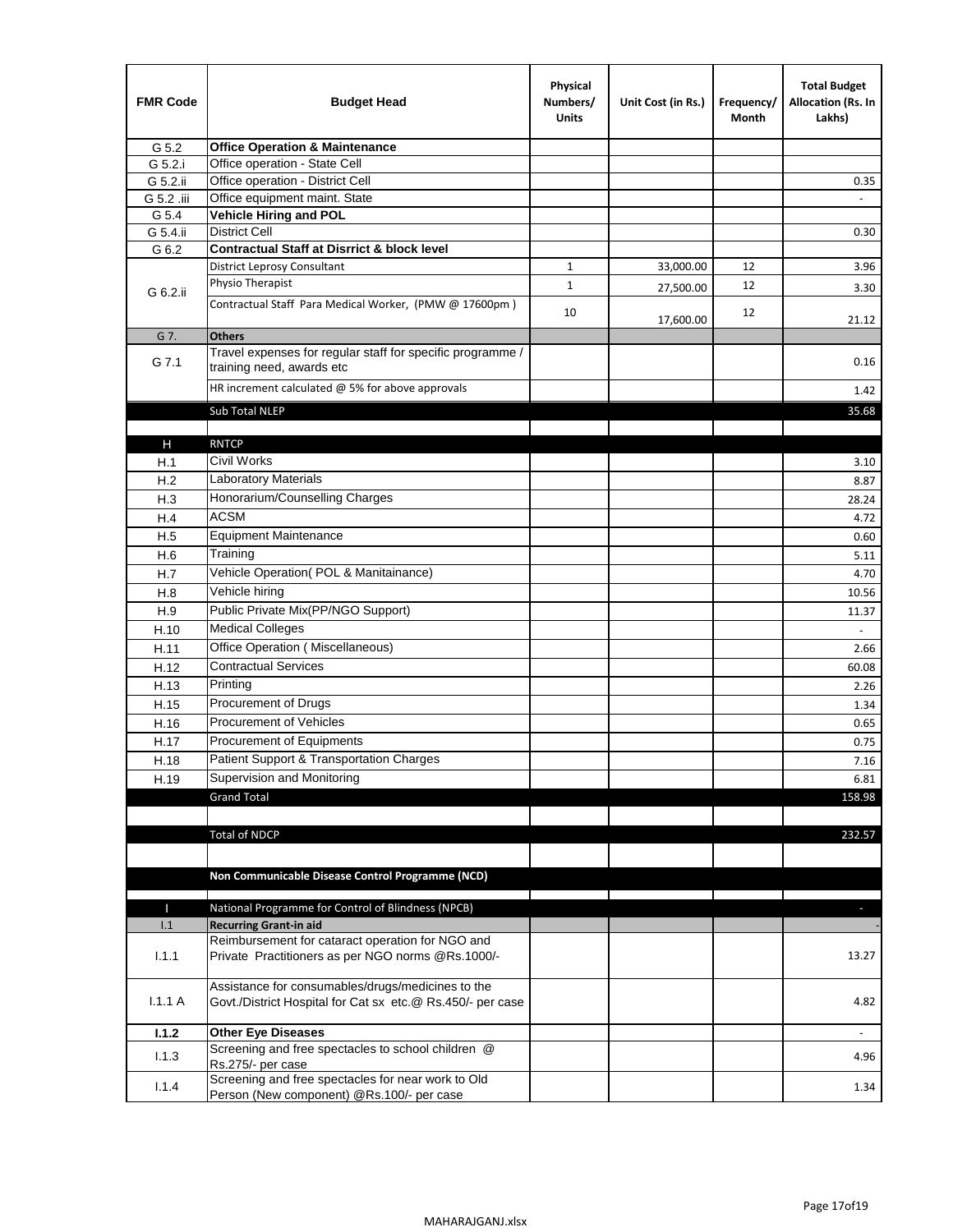| <b>FMR Code</b> | <b>Budget Head</b>                                                                                              | Physical<br>Numbers/<br><b>Units</b> | Unit Cost (in Rs.) | Frequency/<br>Month | <b>Total Budget</b><br>Allocation (Rs. In<br>Lakhs) |
|-----------------|-----------------------------------------------------------------------------------------------------------------|--------------------------------------|--------------------|---------------------|-----------------------------------------------------|
| G 5.2           | <b>Office Operation &amp; Maintenance</b>                                                                       |                                      |                    |                     |                                                     |
| G 5.2.i         | Office operation - State Cell                                                                                   |                                      |                    |                     |                                                     |
| G 5.2.ii        | Office operation - District Cell                                                                                |                                      |                    |                     | 0.35                                                |
| G 5.2 .iii      | Office equipment maint. State                                                                                   |                                      |                    |                     |                                                     |
| G 5.4           | Vehicle Hiring and POL                                                                                          |                                      |                    |                     |                                                     |
| G 5.4.ii        | <b>District Cell</b>                                                                                            |                                      |                    |                     | 0.30                                                |
| G 6.2           | <b>Contractual Staff at Disrrict &amp; block level</b>                                                          |                                      |                    |                     |                                                     |
|                 | <b>District Leprosy Consultant</b>                                                                              | 1                                    | 33,000.00          | 12                  | 3.96                                                |
| G 6.2.ii        | Physio Therapist                                                                                                | $\mathbf{1}$                         | 27,500.00          | 12                  | 3.30                                                |
|                 | Contractual Staff Para Medical Worker, (PMW @ 17600pm)                                                          | 10                                   | 17,600.00          | 12                  | 21.12                                               |
| G 7.            | <b>Others</b>                                                                                                   |                                      |                    |                     |                                                     |
| G 7.1           | Travel expenses for regular staff for specific programme /<br>training need, awards etc                         |                                      |                    |                     | 0.16                                                |
|                 | HR increment calculated $@$ 5% for above approvals                                                              |                                      |                    |                     | 1.42                                                |
|                 | Sub Total NLEP                                                                                                  |                                      |                    |                     | 35.68                                               |
|                 |                                                                                                                 |                                      |                    |                     |                                                     |
| Н               | <b>RNTCP</b>                                                                                                    |                                      |                    |                     |                                                     |
| H.1             | Civil Works                                                                                                     |                                      |                    |                     | 3.10                                                |
| H.2             | Laboratory Materials                                                                                            |                                      |                    |                     | 8.87                                                |
| H.3             | Honorarium/Counselling Charges                                                                                  |                                      |                    |                     | 28.24                                               |
| H.4             | <b>ACSM</b>                                                                                                     |                                      |                    |                     | 4.72                                                |
| H.5             | <b>Equipment Maintenance</b>                                                                                    |                                      |                    |                     | 0.60                                                |
| H.6             | Training                                                                                                        |                                      |                    |                     | 5.11                                                |
| H.7             | Vehicle Operation(POL & Manitainance)                                                                           |                                      |                    |                     | 4.70                                                |
| H.8             | Vehicle hiring                                                                                                  |                                      |                    |                     | 10.56                                               |
| H.9             | Public Private Mix(PP/NGO Support)                                                                              |                                      |                    |                     | 11.37                                               |
| H.10            | <b>Medical Colleges</b>                                                                                         |                                      |                    |                     | $\sim$                                              |
| H.11            | Office Operation (Miscellaneous)                                                                                |                                      |                    |                     | 2.66                                                |
| H.12            | <b>Contractual Services</b>                                                                                     |                                      |                    |                     | 60.08                                               |
| H.13            | Printing                                                                                                        |                                      |                    |                     | 2.26                                                |
| H.15            | Procurement of Drugs                                                                                            |                                      |                    |                     | 1.34                                                |
| H.16            | Procurement of Vehicles                                                                                         |                                      |                    |                     | 0.65                                                |
| H.17            | Procurement of Equipments                                                                                       |                                      |                    |                     | 0.75                                                |
| H.18            | Patient Support & Transportation Charges                                                                        |                                      |                    |                     | 7.16                                                |
| H.19            | Supervision and Monitoring                                                                                      |                                      |                    |                     | 6.81                                                |
|                 | <b>Grand Total</b>                                                                                              |                                      |                    |                     | 158.98                                              |
|                 |                                                                                                                 |                                      |                    |                     |                                                     |
|                 | <b>Total of NDCP</b>                                                                                            |                                      |                    |                     | 232.57                                              |
|                 | Non Communicable Disease Control Programme (NCD)                                                                |                                      |                    |                     |                                                     |
| Т               | National Programme for Control of Blindness (NPCB)                                                              |                                      |                    |                     | ÷.                                                  |
| 1.1             | <b>Recurring Grant-in aid</b>                                                                                   |                                      |                    |                     |                                                     |
|                 | Reimbursement for cataract operation for NGO and                                                                |                                      |                    |                     |                                                     |
| 1.1.1           | Private Practitioners as per NGO norms @Rs.1000/-                                                               |                                      |                    |                     | 13.27                                               |
| 1.1.1A          | Assistance for consumables/drugs/medicines to the<br>Govt./District Hospital for Cat sx etc.@ Rs.450/- per case |                                      |                    |                     | 4.82                                                |
| 1.1.2           | <b>Other Eye Diseases</b>                                                                                       |                                      |                    |                     |                                                     |
| 1.1.3           | Screening and free spectacles to school children @                                                              |                                      |                    |                     | 4.96                                                |
|                 | Rs.275/- per case                                                                                               |                                      |                    |                     |                                                     |
| 1.1.4           | Screening and free spectacles for near work to Old<br>Person (New component) @Rs.100/- per case                 |                                      |                    |                     | 1.34                                                |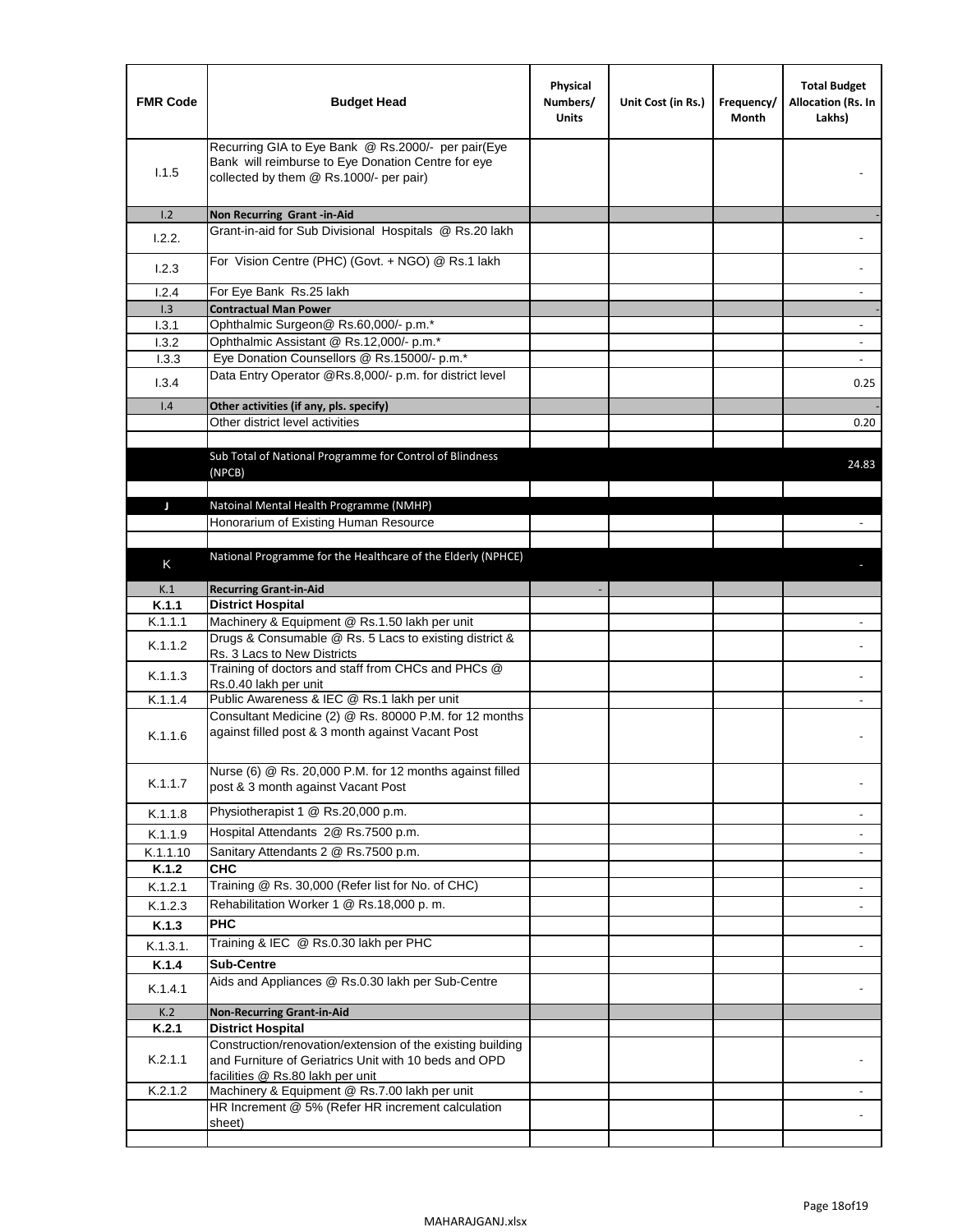| <b>FMR Code</b> | <b>Budget Head</b>                                                                                                                                      | Physical<br>Numbers/<br><b>Units</b> | Unit Cost (in Rs.) | Frequency/<br>Month | <b>Total Budget</b><br>Allocation (Rs. In<br>Lakhs) |
|-----------------|---------------------------------------------------------------------------------------------------------------------------------------------------------|--------------------------------------|--------------------|---------------------|-----------------------------------------------------|
| 1.1.5           | Recurring GIA to Eye Bank @ Rs.2000/- per pair(Eye<br>Bank will reimburse to Eye Donation Centre for eye<br>collected by them @ Rs.1000/- per pair)     |                                      |                    |                     |                                                     |
| 1.2             | Non Recurring Grant -in-Aid                                                                                                                             |                                      |                    |                     |                                                     |
| 1.2.2.          | Grant-in-aid for Sub Divisional Hospitals @ Rs.20 lakh                                                                                                  |                                      |                    |                     |                                                     |
| 1.2.3           | For Vision Centre (PHC) (Govt. + NGO) @ Rs.1 lakh                                                                                                       |                                      |                    |                     |                                                     |
| 1.2.4           | For Eye Bank Rs.25 lakh                                                                                                                                 |                                      |                    |                     | ÷.                                                  |
| 1.3             | <b>Contractual Man Power</b>                                                                                                                            |                                      |                    |                     |                                                     |
| 1.3.1           | Ophthalmic Surgeon@ Rs.60,000/- p.m.*                                                                                                                   |                                      |                    |                     | $\overline{\phantom{a}}$                            |
| 1.3.2           | Ophthalmic Assistant @ Rs.12,000/- p.m.*                                                                                                                |                                      |                    |                     |                                                     |
| 1.3.3           | Eye Donation Counsellors @ Rs.15000/- p.m.*                                                                                                             |                                      |                    |                     | $\overline{\phantom{a}}$                            |
| 1.3.4           | Data Entry Operator @Rs.8,000/- p.m. for district level                                                                                                 |                                      |                    |                     | 0.25                                                |
| 1.4             | Other activities (if any, pls. specify)                                                                                                                 |                                      |                    |                     |                                                     |
|                 | Other district level activities                                                                                                                         |                                      |                    |                     | 0.20                                                |
|                 | Sub Total of National Programme for Control of Blindness<br>(NPCB)                                                                                      |                                      |                    |                     | 24.83                                               |
|                 |                                                                                                                                                         |                                      |                    |                     |                                                     |
| J               | Natoinal Mental Health Programme (NMHP)<br>Honorarium of Existing Human Resource                                                                        |                                      |                    |                     |                                                     |
|                 |                                                                                                                                                         |                                      |                    |                     |                                                     |
|                 | National Programme for the Healthcare of the Elderly (NPHCE)                                                                                            |                                      |                    |                     |                                                     |
| K               |                                                                                                                                                         |                                      |                    |                     |                                                     |
| K.1             | <b>Recurring Grant-in-Aid</b>                                                                                                                           |                                      |                    |                     |                                                     |
| K.1.1           | <b>District Hospital</b>                                                                                                                                |                                      |                    |                     |                                                     |
| K.1.1.1         | Machinery & Equipment @ Rs.1.50 lakh per unit                                                                                                           |                                      |                    |                     |                                                     |
| K.1.1.2         | Drugs & Consumable @ Rs. 5 Lacs to existing district &<br>Rs. 3 Lacs to New Districts                                                                   |                                      |                    |                     |                                                     |
| K.1.1.3         | Training of doctors and staff from CHCs and PHCs @<br>Rs.0.40 lakh per unit                                                                             |                                      |                    |                     |                                                     |
| K.1.1.4         | Public Awareness & IEC @ Rs.1 lakh per unit                                                                                                             |                                      |                    |                     |                                                     |
| K.1.1.6         | Consultant Medicine (2) @ Rs. 80000 P.M. for 12 months<br>against filled post & 3 month against Vacant Post                                             |                                      |                    |                     |                                                     |
| K.1.1.7         | Nurse (6) @ Rs. 20,000 P.M. for 12 months against filled<br>post & 3 month against Vacant Post                                                          |                                      |                    |                     |                                                     |
| K.1.1.8         | Physiotherapist 1 @ Rs.20,000 p.m.                                                                                                                      |                                      |                    |                     |                                                     |
| K.1.1.9         | Hospital Attendants 2@ Rs.7500 p.m.                                                                                                                     |                                      |                    |                     |                                                     |
| K.1.1.10        | Sanitary Attendants 2 @ Rs.7500 p.m.                                                                                                                    |                                      |                    |                     | $\overline{\phantom{a}}$                            |
| K.1.2           | <b>CHC</b>                                                                                                                                              |                                      |                    |                     |                                                     |
| K.1.2.1         | Training @ Rs. 30,000 (Refer list for No. of CHC)                                                                                                       |                                      |                    |                     |                                                     |
| K.1.2.3         | Rehabilitation Worker 1 @ Rs.18,000 p. m.                                                                                                               |                                      |                    |                     |                                                     |
| K.1.3           | <b>PHC</b>                                                                                                                                              |                                      |                    |                     |                                                     |
| K.1.3.1.        | Training & IEC @ Rs.0.30 lakh per PHC                                                                                                                   |                                      |                    |                     |                                                     |
| K.1.4           | <b>Sub-Centre</b>                                                                                                                                       |                                      |                    |                     |                                                     |
|                 | Aids and Appliances @ Rs.0.30 lakh per Sub-Centre                                                                                                       |                                      |                    |                     |                                                     |
| K.1.4.1         |                                                                                                                                                         |                                      |                    |                     |                                                     |
| K.2             | <b>Non-Recurring Grant-in-Aid</b>                                                                                                                       |                                      |                    |                     |                                                     |
| K.2.1           | <b>District Hospital</b>                                                                                                                                |                                      |                    |                     |                                                     |
| K.2.1.1         | Construction/renovation/extension of the existing building<br>and Furniture of Geriatrics Unit with 10 beds and OPD<br>facilities @ Rs.80 lakh per unit |                                      |                    |                     |                                                     |
| K.2.1.2         | Machinery & Equipment @ Rs.7.00 lakh per unit                                                                                                           |                                      |                    |                     |                                                     |
|                 | HR Increment @ 5% (Refer HR increment calculation<br>sheet)                                                                                             |                                      |                    |                     |                                                     |
|                 |                                                                                                                                                         |                                      |                    |                     |                                                     |